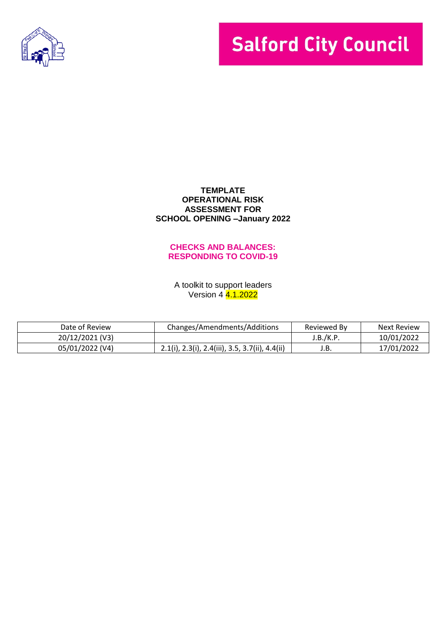

# **Salford City Council**

#### **TEMPLATE OPERATIONAL RISK ASSESSMENT FOR SCHOOL OPENING –January 2022**

#### **CHECKS AND BALANCES: RESPONDING TO COVID-19**

A toolkit to support leaders Version 4 4.1.2022

| Date of Review  | Changes/Amendments/Additions                      | Reviewed By | <b>Next Review</b> |
|-----------------|---------------------------------------------------|-------------|--------------------|
| 20/12/2021 (V3) |                                                   | J.B./K.P    | 10/01/2022         |
| 05/01/2022 (V4) | $2.1(i), 2.3(i), 2.4(iii), 3.5, 3.7(ii), 4.4(ii)$ | J.B.        | 17/01/2022         |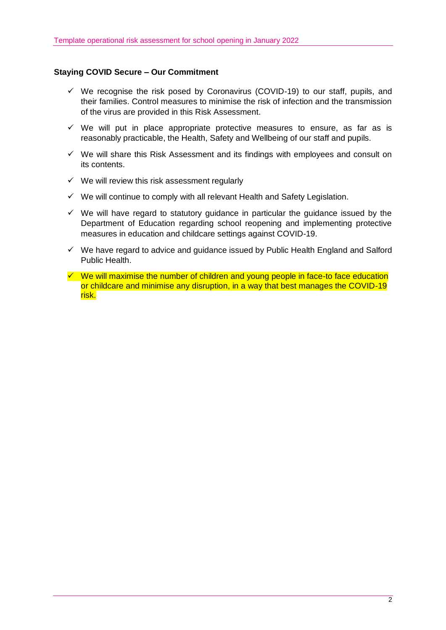# **Staying COVID Secure – Our Commitment**

- $\checkmark$  We recognise the risk posed by Coronavirus (COVID-19) to our staff, pupils, and their families. Control measures to minimise the risk of infection and the transmission of the virus are provided in this Risk Assessment.
- $\checkmark$  We will put in place appropriate protective measures to ensure, as far as is reasonably practicable, the Health, Safety and Wellbeing of our staff and pupils.
- $\checkmark$  We will share this Risk Assessment and its findings with employees and consult on its contents.
- $\checkmark$  We will review this risk assessment regularly
- $\checkmark$  We will continue to comply with all relevant Health and Safety Legislation.
- $\checkmark$  We will have regard to statutory guidance in particular the guidance issued by the Department of Education regarding school reopening and implementing protective measures in education and childcare settings against COVID-19.
- $\checkmark$  We have regard to advice and guidance issued by Public Health England and Salford Public Health.
- $\checkmark$  We will maximise the number of children and young people in face-to face education or childcare and minimise any disruption, in a way that best manages the COVID-19 risk.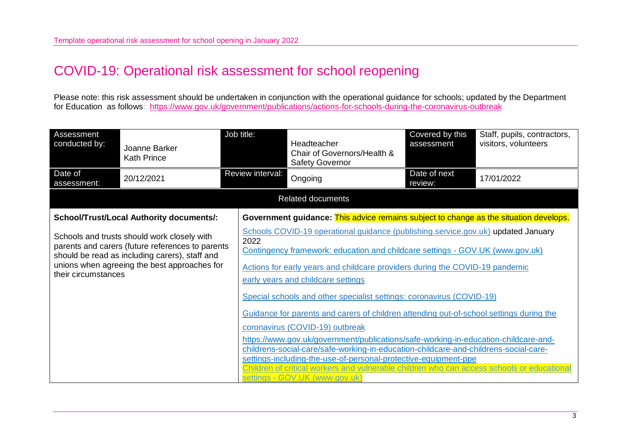# COVID-19: Operational risk assessment for school reopening

Please note: this risk assessment should be undertaken in conjunction with the operational guidance for schools; updated by the Department for Education as follows: [https://www.gov.uk/government/publications/actions-for-schools-during-the-coronavirus-outbreak](https://eur02.safelinks.protection.outlook.com/?url=https%3A%2F%2Fwww.gov.uk%2Fgovernment%2Fpublications%2Factions-for-schools-during-the-coronavirus-outbreak&data=04%7C01%7CRoberta.Greenwood%40salford.gov.uk%7C4fe178d25e8c4cafd2d708d9bf04f663%7C68c00060d80e40a5b83f3b8a5bc570b5%7C0%7C0%7C637750850293645923%7CUnknown%7CTWFpbGZsb3d8eyJWIjoiMC4wLjAwMDAiLCJQIjoiV2luMzIiLCJBTiI6Ik1haWwiLCJXVCI6Mn0%3D%7C3000&sdata=GKRfB2XkS0%2FCWy0m94rT9wSu%2BESfXnYQU3OSYPTKf9o%3D&reserved=0)

| Assessment<br>conducted by:                                                                                                                                                                                              | Joanne Barker<br><b>Kath Prince</b>             | Job title:                             | Headteacher<br>Chair of Governors/Health &<br><b>Safety Governor</b>                                                                                                                                                                                                                                                                                                                                                                                                                                                                                                                                                                                                                                                                                                                                                                            | Covered by this<br>assessment | Staff, pupils, contractors,<br>visitors, volunteers |  |  |
|--------------------------------------------------------------------------------------------------------------------------------------------------------------------------------------------------------------------------|-------------------------------------------------|----------------------------------------|-------------------------------------------------------------------------------------------------------------------------------------------------------------------------------------------------------------------------------------------------------------------------------------------------------------------------------------------------------------------------------------------------------------------------------------------------------------------------------------------------------------------------------------------------------------------------------------------------------------------------------------------------------------------------------------------------------------------------------------------------------------------------------------------------------------------------------------------------|-------------------------------|-----------------------------------------------------|--|--|
| Date of<br>assessment:                                                                                                                                                                                                   | 20/12/2021                                      | Review interval:                       | Ongoing                                                                                                                                                                                                                                                                                                                                                                                                                                                                                                                                                                                                                                                                                                                                                                                                                                         | Date of next<br>review:       | 17/01/2022                                          |  |  |
|                                                                                                                                                                                                                          |                                                 |                                        | <b>Related documents</b>                                                                                                                                                                                                                                                                                                                                                                                                                                                                                                                                                                                                                                                                                                                                                                                                                        |                               |                                                     |  |  |
|                                                                                                                                                                                                                          | <b>School/Trust/Local Authority documents/:</b> |                                        | Government guidance: This advice remains subject to change as the situation develops.                                                                                                                                                                                                                                                                                                                                                                                                                                                                                                                                                                                                                                                                                                                                                           |                               |                                                     |  |  |
| Schools and trusts should work closely with<br>parents and carers (future references to parents<br>should be read as including carers), staff and<br>unions when agreeing the best approaches for<br>their circumstances |                                                 | 2022<br>settings - GOV.UK (www.gov.uk) | Schools COVID-19 operational guidance (publishing.service.gov.uk) updated January<br>Contingency framework: education and childcare settings - GOV.UK (www.gov.uk)<br>Actions for early years and childcare providers during the COVID-19 pandemic<br>early years and childcare settings<br>Special schools and other specialist settings: coronavirus (COVID-19)<br>Guidance for parents and carers of children attending out-of-school settings during the<br>coronavirus (COVID-19) outbreak<br>https://www.gov.uk/government/publications/safe-working-in-education-childcare-and-<br>childrens-social-care/safe-working-in-education-childcare-and-childrens-social-care-<br>settings-including-the-use-of-personal-protective-equipment-ppe<br>Children of critical workers and vulnerable children who can access schools or educational |                               |                                                     |  |  |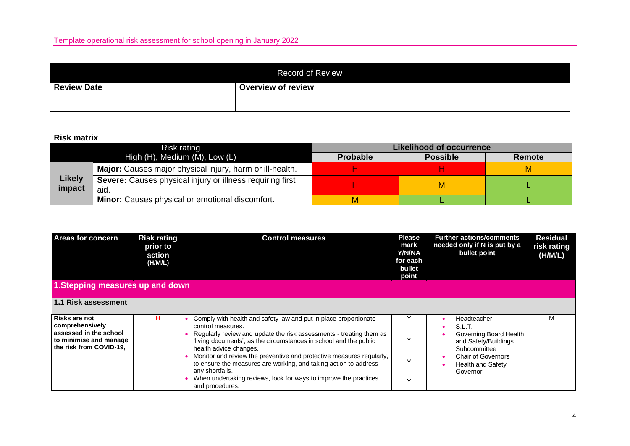| <b>Record of Review</b> |                           |  |  |  |
|-------------------------|---------------------------|--|--|--|
| <b>Review Date</b>      | <b>Overview of review</b> |  |  |  |
|                         |                           |  |  |  |

## **Risk matrix**

|                         | Risk rating                                                       | Likelihood of occurrence |                 |        |  |  |  |
|-------------------------|-------------------------------------------------------------------|--------------------------|-----------------|--------|--|--|--|
|                         | High (H), Medium (M), Low (L)                                     | <b>Probable</b>          | <b>Possible</b> | Remote |  |  |  |
|                         | Major: Causes major physical injury, harm or ill-health.          |                          |                 |        |  |  |  |
| <b>Likely</b><br>impact | Severe: Causes physical injury or illness requiring first<br>aid. |                          | М               |        |  |  |  |
|                         | <b>Minor:</b> Causes physical or emotional discomfort.            | М                        |                 |        |  |  |  |

| <b>Areas for concern</b><br>1. Stepping measures up and down                                                               | <b>Risk rating</b><br>prior to<br>action<br>(H/M/L) | <b>Control measures</b>                                                                                                                                                                                                                                                                                                                                                                                                                                                                                           | <b>Please</b><br>mark<br><b>Y/N/NA</b><br>for each<br>bullet<br>point | <b>Further actions/comments</b><br>needed only if N is put by a<br>bullet point                                                                              | <b>Residual</b><br>risk rating<br>(H/M/L) |
|----------------------------------------------------------------------------------------------------------------------------|-----------------------------------------------------|-------------------------------------------------------------------------------------------------------------------------------------------------------------------------------------------------------------------------------------------------------------------------------------------------------------------------------------------------------------------------------------------------------------------------------------------------------------------------------------------------------------------|-----------------------------------------------------------------------|--------------------------------------------------------------------------------------------------------------------------------------------------------------|-------------------------------------------|
|                                                                                                                            |                                                     |                                                                                                                                                                                                                                                                                                                                                                                                                                                                                                                   |                                                                       |                                                                                                                                                              |                                           |
| 1.1 Risk assessment                                                                                                        |                                                     |                                                                                                                                                                                                                                                                                                                                                                                                                                                                                                                   |                                                                       |                                                                                                                                                              |                                           |
| <b>Risks are not</b><br>  comprehensively<br>l assessed in the school<br>to minimise and manage<br>the risk from COVID-19, |                                                     | Comply with health and safety law and put in place proportionate<br>control measures.<br>Regularly review and update the risk assessments - treating them as<br>'living documents', as the circumstances in school and the public<br>health advice changes.<br>Monitor and review the preventive and protective measures regularly,<br>to ensure the measures are working, and taking action to address<br>any shortfalls.<br>When undertaking reviews, look for ways to improve the practices<br>and procedures. |                                                                       | Headteacher<br>S.L.T.<br>Governing Board Health<br>and Safety/Buildings<br>Subcommittee<br><b>Chair of Governors</b><br><b>Health and Safety</b><br>Governor | м                                         |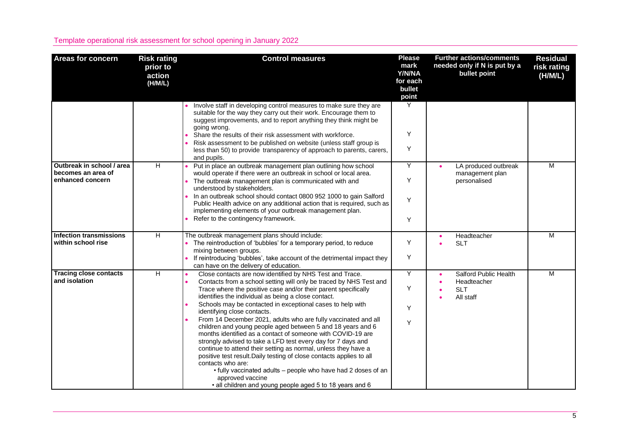| <b>Areas for concern</b>                                            | <b>Risk rating</b><br>prior to<br>action<br>(H/M/L) | <b>Control measures</b>                                                                                                                                                                                                                                                                                                                                                                                                                                                                                                                                                                                                                                                                                                                                                                                                                                                                                                              | <b>Please</b><br>mark<br>Y/N/NA<br>for each<br>bullet<br>point | <b>Further actions/comments</b><br>needed only if N is put by a<br>bullet point | <b>Residual</b><br>risk rating<br>(H/M/L) |
|---------------------------------------------------------------------|-----------------------------------------------------|--------------------------------------------------------------------------------------------------------------------------------------------------------------------------------------------------------------------------------------------------------------------------------------------------------------------------------------------------------------------------------------------------------------------------------------------------------------------------------------------------------------------------------------------------------------------------------------------------------------------------------------------------------------------------------------------------------------------------------------------------------------------------------------------------------------------------------------------------------------------------------------------------------------------------------------|----------------------------------------------------------------|---------------------------------------------------------------------------------|-------------------------------------------|
|                                                                     |                                                     | Involve staff in developing control measures to make sure they are<br>suitable for the way they carry out their work. Encourage them to<br>suggest improvements, and to report anything they think might be<br>going wrong.<br>Share the results of their risk assessment with workforce.<br>Risk assessment to be published on website (unless staff group is<br>less than 50) to provide transparency of approach to parents, carers,<br>and pupils.                                                                                                                                                                                                                                                                                                                                                                                                                                                                               | Y<br>Y<br>Y                                                    |                                                                                 |                                           |
| Outbreak in school / area<br>becomes an area of<br>enhanced concern | $\overline{H}$                                      | Put in place an outbreak management plan outlining how school<br>would operate if there were an outbreak in school or local area.<br>The outbreak management plan is communicated with and<br>understood by stakeholders.<br>• In an outbreak school should contact 0800 952 1000 to gain Salford<br>Public Health advice on any additional action that is required, such as<br>implementing elements of your outbreak management plan.<br>Refer to the contingency framework.                                                                                                                                                                                                                                                                                                                                                                                                                                                       | Y<br>Υ<br>Y<br>Y                                               | LA produced outbreak<br>management plan<br>personalised                         | M                                         |
| <b>Infection transmissions</b><br>within school rise                | H                                                   | The outbreak management plans should include:<br>• The reintroduction of 'bubbles' for a temporary period, to reduce<br>mixing between groups.<br>• If reintroducing 'bubbles', take account of the detrimental impact they<br>can have on the delivery of education.                                                                                                                                                                                                                                                                                                                                                                                                                                                                                                                                                                                                                                                                | Υ<br>Y                                                         | Headteacher<br><b>SLT</b>                                                       | M                                         |
| <b>Tracing close contacts</b><br>and isolation                      | $\overline{H}$                                      | Close contacts are now identified by NHS Test and Trace.<br>Contacts from a school setting will only be traced by NHS Test and<br>Trace where the positive case and/or their parent specifically<br>identifies the individual as being a close contact.<br>Schools may be contacted in exceptional cases to help with<br>identifying close contacts.<br>From 14 December 2021, adults who are fully vaccinated and all<br>children and young people aged between 5 and 18 years and 6<br>months identified as a contact of someone with COVID-19 are<br>strongly advised to take a LFD test every day for 7 days and<br>continue to attend their setting as normal, unless they have a<br>positive test result. Daily testing of close contacts applies to all<br>contacts who are:<br>• fully vaccinated adults – people who have had 2 doses of an<br>approved vaccine<br>• all children and young people aged 5 to 18 years and 6 | Y<br>Υ<br>Υ<br>Y                                               | Salford Public Health<br>Headteacher<br><b>SLT</b><br>All staff                 | M                                         |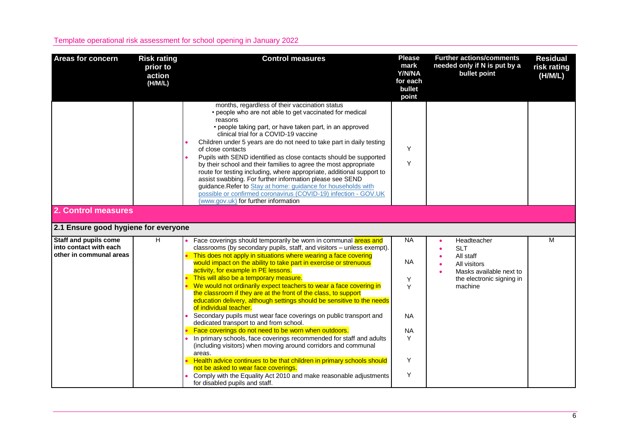| <b>Areas for concern</b>                                                          | <b>Risk rating</b><br>prior to<br>action<br>(H/M/L) | <b>Control measures</b>                                                                                                                                                                                                                                                                                                                                                                                                                                                                                                                                                                                                                                                                                                                                                          | <b>Please</b><br>mark<br>Y/N/NA<br>for each<br>bullet<br>point | <b>Further actions/comments</b><br>needed only if N is put by a<br>bullet point | <b>Residual</b><br>risk rating<br>(H/M/L) |
|-----------------------------------------------------------------------------------|-----------------------------------------------------|----------------------------------------------------------------------------------------------------------------------------------------------------------------------------------------------------------------------------------------------------------------------------------------------------------------------------------------------------------------------------------------------------------------------------------------------------------------------------------------------------------------------------------------------------------------------------------------------------------------------------------------------------------------------------------------------------------------------------------------------------------------------------------|----------------------------------------------------------------|---------------------------------------------------------------------------------|-------------------------------------------|
|                                                                                   |                                                     | months, regardless of their vaccination status<br>• people who are not able to get vaccinated for medical<br>reasons<br>• people taking part, or have taken part, in an approved<br>clinical trial for a COVID-19 vaccine<br>Children under 5 years are do not need to take part in daily testing<br>of close contacts<br>Pupils with SEND identified as close contacts should be supported<br>by their school and their families to agree the most appropriate<br>route for testing including, where appropriate, additional support to<br>assist swabbing. For further information please see SEND<br>guidance. Refer to Stay at home: guidance for households with<br>possible or confirmed coronavirus (COVID-19) infection - GOV.UK<br>(www.gov.uk) for further information | Y<br>Y                                                         |                                                                                 |                                           |
| 2. Control measures                                                               |                                                     |                                                                                                                                                                                                                                                                                                                                                                                                                                                                                                                                                                                                                                                                                                                                                                                  |                                                                |                                                                                 |                                           |
| 2.1 Ensure good hygiene for everyone                                              |                                                     |                                                                                                                                                                                                                                                                                                                                                                                                                                                                                                                                                                                                                                                                                                                                                                                  |                                                                |                                                                                 |                                           |
| <b>Staff and pupils come</b><br>into contact with each<br>other in communal areas | H                                                   | Face coverings should temporarily be worn in communal areas and<br>classrooms (by secondary pupils, staff, and visitors - unless exempt).<br>This does not apply in situations where wearing a face covering                                                                                                                                                                                                                                                                                                                                                                                                                                                                                                                                                                     | <b>NA</b>                                                      | Headteacher<br><b>SLT</b>                                                       | M                                         |
|                                                                                   |                                                     | would impact on the ability to take part in exercise or strenuous<br>activity, for example in PE lessons.                                                                                                                                                                                                                                                                                                                                                                                                                                                                                                                                                                                                                                                                        | <b>NA</b>                                                      | All staff<br>All visitors<br>Masks available next to                            |                                           |
|                                                                                   |                                                     | This will also be a temporary measure.<br>We would not ordinarily expect teachers to wear a face covering in<br>the classroom if they are at the front of the class, to support<br>education delivery, although settings should be sensitive to the needs<br>of individual teacher.                                                                                                                                                                                                                                                                                                                                                                                                                                                                                              | Y<br>Y                                                         | the electronic signing in<br>machine                                            |                                           |
|                                                                                   |                                                     | Secondary pupils must wear face coverings on public transport and<br>dedicated transport to and from school.                                                                                                                                                                                                                                                                                                                                                                                                                                                                                                                                                                                                                                                                     | <b>NA</b>                                                      |                                                                                 |                                           |
|                                                                                   |                                                     | Face coverings do not need to be worn when outdoors.<br>In primary schools, face coverings recommended for staff and adults<br>(including visitors) when moving around corridors and communal<br>areas.                                                                                                                                                                                                                                                                                                                                                                                                                                                                                                                                                                          | <b>NA</b><br>Y                                                 |                                                                                 |                                           |
|                                                                                   |                                                     | Health advice continues to be that children in primary schools should<br>not be asked to wear face coverings.                                                                                                                                                                                                                                                                                                                                                                                                                                                                                                                                                                                                                                                                    | Y                                                              |                                                                                 |                                           |
|                                                                                   |                                                     | Comply with the Equality Act 2010 and make reasonable adjustments<br>for disabled pupils and staff.                                                                                                                                                                                                                                                                                                                                                                                                                                                                                                                                                                                                                                                                              | Y                                                              |                                                                                 |                                           |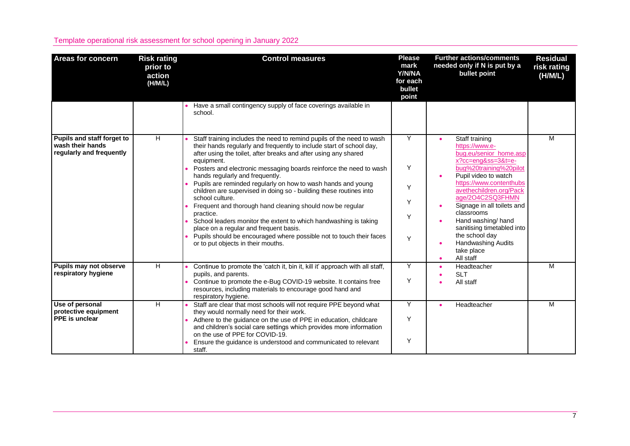| <b>Areas for concern</b>                                                   | <b>Risk rating</b><br>prior to<br>action<br>(H/M/L) | <b>Control measures</b>                                                                                                                                                                                                                                                                                                                                                                                                                                                                                                                                                                                                                                                                                                                                                                               | <b>Please</b><br>mark<br>Y/N/NA<br>for each<br>bullet<br>point | <b>Further actions/comments</b><br>needed only if N is put by a<br>bullet point                                                                                                                                                                                                                                                                                                                           | <b>Residual</b><br>risk rating<br>(H/M/L) |
|----------------------------------------------------------------------------|-----------------------------------------------------|-------------------------------------------------------------------------------------------------------------------------------------------------------------------------------------------------------------------------------------------------------------------------------------------------------------------------------------------------------------------------------------------------------------------------------------------------------------------------------------------------------------------------------------------------------------------------------------------------------------------------------------------------------------------------------------------------------------------------------------------------------------------------------------------------------|----------------------------------------------------------------|-----------------------------------------------------------------------------------------------------------------------------------------------------------------------------------------------------------------------------------------------------------------------------------------------------------------------------------------------------------------------------------------------------------|-------------------------------------------|
|                                                                            |                                                     | Have a small contingency supply of face coverings available in<br>school.                                                                                                                                                                                                                                                                                                                                                                                                                                                                                                                                                                                                                                                                                                                             |                                                                |                                                                                                                                                                                                                                                                                                                                                                                                           |                                           |
| Pupils and staff forget to<br>wash their hands<br>regularly and frequently | H                                                   | Staff training includes the need to remind pupils of the need to wash<br>their hands regularly and frequently to include start of school day,<br>after using the toilet, after breaks and after using any shared<br>equipment.<br>Posters and electronic messaging boards reinforce the need to wash<br>hands regularly and frequently.<br>Pupils are reminded regularly on how to wash hands and young<br>children are supervised in doing so - building these routines into<br>school culture.<br>Frequent and thorough hand cleaning should now be regular<br>practice.<br>School leaders monitor the extent to which handwashing is taking<br>place on a regular and frequent basis.<br>Pupils should be encouraged where possible not to touch their faces<br>or to put objects in their mouths. | Y<br>Y<br>Y<br>Υ<br>Y<br>Y                                     | Staff training<br>https://www.e-<br>bug.eu/senior_home.asp<br>$x?cc=eng&ss=3&t=e-$<br>bug%20training%20pilot<br>Pupil video to watch<br>$\bullet$<br>https://www.contenthubs<br>avethechildren.org/Pack<br>age/2O4C2SQ3FHMN<br>Signage in all toilets and<br>classrooms<br>Hand washing/hand<br>sanitising timetabled into<br>the school day<br><b>Handwashing Audits</b><br>take place<br>All staff<br>٠ | M                                         |
| Pupils may not observe<br>respiratory hygiene                              | $\overline{H}$                                      | Continue to promote the 'catch it, bin it, kill it' approach with all staff,<br>pupils, and parents.<br>Continue to promote the e-Bug COVID-19 website. It contains free<br>resources, including materials to encourage good hand and<br>respiratory hygiene.                                                                                                                                                                                                                                                                                                                                                                                                                                                                                                                                         | Y<br>Y                                                         | Headteacher<br><b>SLT</b><br>All staff                                                                                                                                                                                                                                                                                                                                                                    | M                                         |
| Use of personal<br>protective equipment<br><b>PPE</b> is unclear           | H                                                   | Staff are clear that most schools will not require PPE beyond what<br>they would normally need for their work.<br>Adhere to the guidance on the use of PPE in education, childcare<br>and children's social care settings which provides more information<br>on the use of PPE for COVID-19.<br>Ensure the guidance is understood and communicated to relevant<br>staff.                                                                                                                                                                                                                                                                                                                                                                                                                              | Y<br>Y<br>Y                                                    | Headteacher                                                                                                                                                                                                                                                                                                                                                                                               | м                                         |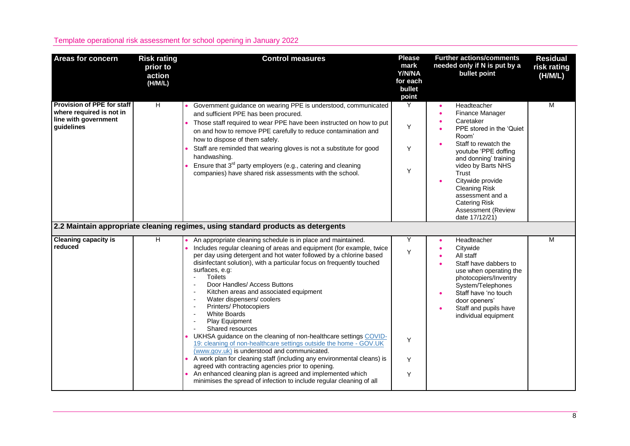| <b>Areas for concern</b>                                                                     | <b>Risk rating</b><br>prior to<br>action<br>(H/M/L) | <b>Control measures</b>                                                                                                                                                                                                                                                                                                                                                                                                                                                                                                                                                                                                                                                                                                                                                                                                                                                                                                                                                                                                          | <b>Please</b><br>mark<br>Y/N/NA<br>for each<br>bullet<br>point | <b>Further actions/comments</b><br>needed only if N is put by a<br>bullet point                                                                                                                                                                                                                                                 | <b>Residual</b><br>risk rating<br>(H/M/L) |
|----------------------------------------------------------------------------------------------|-----------------------------------------------------|----------------------------------------------------------------------------------------------------------------------------------------------------------------------------------------------------------------------------------------------------------------------------------------------------------------------------------------------------------------------------------------------------------------------------------------------------------------------------------------------------------------------------------------------------------------------------------------------------------------------------------------------------------------------------------------------------------------------------------------------------------------------------------------------------------------------------------------------------------------------------------------------------------------------------------------------------------------------------------------------------------------------------------|----------------------------------------------------------------|---------------------------------------------------------------------------------------------------------------------------------------------------------------------------------------------------------------------------------------------------------------------------------------------------------------------------------|-------------------------------------------|
| Provision of PPE for staff<br>where required is not in<br>line with government<br>quidelines | $\overline{H}$                                      | Government guidance on wearing PPE is understood, communicated<br>and sufficient PPE has been procured.<br>Those staff required to wear PPE have been instructed on how to put<br>on and how to remove PPE carefully to reduce contamination and<br>how to dispose of them safely.<br>Staff are reminded that wearing gloves is not a substitute for good<br>handwashing.<br>Ensure that $3^{rd}$ party employers (e.g., catering and cleaning<br>companies) have shared risk assessments with the school.                                                                                                                                                                                                                                                                                                                                                                                                                                                                                                                       | Y<br>Y<br>Y<br>Y                                               | Headteacher<br>Finance Manager<br>Caretaker<br>PPE stored in the 'Quiet<br>Room'<br>Staff to rewatch the<br>youtube 'PPE doffing<br>and donning' training<br>video by Barts NHS<br>Trust<br>Citywide provide<br><b>Cleaning Risk</b><br>assessment and a<br><b>Catering Risk</b><br><b>Assessment (Review</b><br>date 17/12/21) | $\overline{\mathsf{M}}$                   |
|                                                                                              |                                                     | 2.2 Maintain appropriate cleaning regimes, using standard products as detergents                                                                                                                                                                                                                                                                                                                                                                                                                                                                                                                                                                                                                                                                                                                                                                                                                                                                                                                                                 |                                                                |                                                                                                                                                                                                                                                                                                                                 |                                           |
| <b>Cleaning capacity is</b><br>reduced                                                       | H.                                                  | An appropriate cleaning schedule is in place and maintained.<br>Includes regular cleaning of areas and equipment (for example, twice<br>per day using detergent and hot water followed by a chlorine based<br>disinfectant solution), with a particular focus on frequently touched<br>surfaces, e.g:<br><b>Toilets</b><br>Door Handles/ Access Buttons<br>Kitchen areas and associated equipment<br>Water dispensers/coolers<br>$\overline{a}$<br>Printers/ Photocopiers<br>$\overline{\phantom{a}}$<br><b>White Boards</b><br>Play Equipment<br>Shared resources<br>UKHSA guidance on the cleaning of non-healthcare settings COVID-<br>19: cleaning of non-healthcare settings outside the home - GOV.UK<br>(www.gov.uk) is understood and communicated.<br>A work plan for cleaning staff (including any environmental cleans) is<br>agreed with contracting agencies prior to opening.<br>An enhanced cleaning plan is agreed and implemented which<br>minimises the spread of infection to include regular cleaning of all | Y<br>Y<br>Υ<br>Υ<br>Y                                          | Headteacher<br>Citywide<br>All staff<br>Staff have dabbers to<br>use when operating the<br>photocopiers/Inventry<br>System/Telephones<br>Staff have 'no touch<br>door openers'<br>Staff and pupils have<br>individual equipment                                                                                                 | M                                         |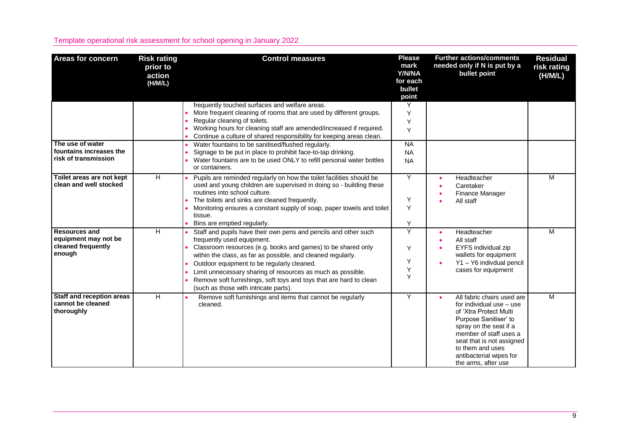| <b>Areas for concern</b>                                                     | <b>Risk rating</b><br>prior to<br>action<br>(H/M/L) | <b>Control measures</b>                                                                                                                                                                                                                                                                                                                                                                                                                                   | <b>Please</b><br>mark<br>Y/N/NA<br>for each<br>bullet<br>point | <b>Further actions/comments</b><br>needed only if N is put by a<br>bullet point                                                                                                                                                                                  | <b>Residual</b><br>risk rating<br>(H/M/L) |
|------------------------------------------------------------------------------|-----------------------------------------------------|-----------------------------------------------------------------------------------------------------------------------------------------------------------------------------------------------------------------------------------------------------------------------------------------------------------------------------------------------------------------------------------------------------------------------------------------------------------|----------------------------------------------------------------|------------------------------------------------------------------------------------------------------------------------------------------------------------------------------------------------------------------------------------------------------------------|-------------------------------------------|
|                                                                              |                                                     | frequently touched surfaces and welfare areas.<br>More frequent cleaning of rooms that are used by different groups.<br>Regular cleaning of toilets.<br>Working hours for cleaning staff are amended/increased if required.<br>Continue a culture of shared responsibility for keeping areas clean.                                                                                                                                                       | Y<br>Y<br>Y<br>Y                                               |                                                                                                                                                                                                                                                                  |                                           |
| The use of water<br>fountains increases the<br>risk of transmission          |                                                     | Water fountains to be sanitised/flushed regularly.<br>Signage to be put in place to prohibit face-to-tap drinking.<br>Water fountains are to be used ONLY to refill personal water bottles<br>or containers.                                                                                                                                                                                                                                              | <b>NA</b><br><b>NA</b><br><b>NA</b>                            |                                                                                                                                                                                                                                                                  |                                           |
| Toilet areas are not kept<br>clean and well stocked                          | H                                                   | Pupils are reminded regularly on how the toilet facilities should be<br>used and young children are supervised in doing so - building these<br>routines into school culture.<br>The toilets and sinks are cleaned frequently.<br>Monitoring ensures a constant supply of soap, paper towels and toilet<br>tissue.<br>Bins are emptied regularly.                                                                                                          | Y<br>Y<br>Y<br>Y                                               | Headteacher<br>Caretaker<br>Finance Manager<br>All staff                                                                                                                                                                                                         | M                                         |
| <b>Resources and</b><br>equipment may not be<br>cleaned frequently<br>enough | H                                                   | Staff and pupils have their own pens and pencils and other such<br>frequently used equipment.<br>Classroom resources (e.g. books and games) to be shared only<br>within the class, as far as possible, and cleaned regularly.<br>Outdoor equipment to be regularly cleaned.<br>Limit unnecessary sharing of resources as much as possible.<br>Remove soft furnishings, soft toys and toys that are hard to clean<br>(such as those with intricate parts). | Y<br>Y<br>Y<br>Y<br>Y                                          | Headteacher<br>All staff<br>EYFS individual zip<br>wallets for equipment<br>Y1 - Y6 indivdual pencil<br>cases for equipment                                                                                                                                      | M                                         |
| Staff and reception areas<br>cannot be cleaned<br>thoroughly                 | H                                                   | Remove soft furnishings and items that cannot be regularly<br>cleaned.                                                                                                                                                                                                                                                                                                                                                                                    | Y                                                              | All fabric chairs used are<br>for individual use - use<br>of 'Xtra Protect Multi<br>Purpose Sanitiser' to<br>spray on the seat if a<br>member of staff uses a<br>seat that is not assigned<br>to them and uses<br>antibacterial wipes for<br>the arms, after use | M                                         |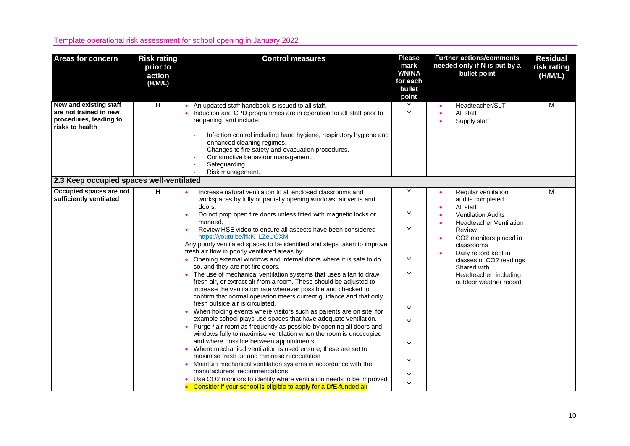| <b>Areas for concern</b>                                                                      | <b>Risk rating</b><br>prior to<br>action<br>(H/M/L) | <b>Control measures</b>                                                                                                                                                                                                                                                                                                                                                                                                                                                                                                                                                                                                                                                                                                                                                                                                                                                                                                                                                                                                                                                                                                                                                                                                                                                                                                                                                                                                                                                                                                                                                                    | <b>Please</b><br>mark<br>Y/N/NA<br>for each<br>bullet<br>point | <b>Further actions/comments</b><br>needed only if N is put by a<br>bullet point                                                                                                                                                                                                             | <b>Residual</b><br>risk rating<br>(H/M/L) |
|-----------------------------------------------------------------------------------------------|-----------------------------------------------------|--------------------------------------------------------------------------------------------------------------------------------------------------------------------------------------------------------------------------------------------------------------------------------------------------------------------------------------------------------------------------------------------------------------------------------------------------------------------------------------------------------------------------------------------------------------------------------------------------------------------------------------------------------------------------------------------------------------------------------------------------------------------------------------------------------------------------------------------------------------------------------------------------------------------------------------------------------------------------------------------------------------------------------------------------------------------------------------------------------------------------------------------------------------------------------------------------------------------------------------------------------------------------------------------------------------------------------------------------------------------------------------------------------------------------------------------------------------------------------------------------------------------------------------------------------------------------------------------|----------------------------------------------------------------|---------------------------------------------------------------------------------------------------------------------------------------------------------------------------------------------------------------------------------------------------------------------------------------------|-------------------------------------------|
| New and existing staff<br>are not trained in new<br>procedures, leading to<br>risks to health | H                                                   | An updated staff handbook is issued to all staff.<br>Induction and CPD programmes are in operation for all staff prior to<br>reopening, and include:<br>Infection control including hand hygiene, respiratory hygiene and<br>enhanced cleaning regimes.<br>Changes to fire safety and evacuation procedures.<br>Constructive behaviour management.<br>Safeguarding.<br>Risk management.                                                                                                                                                                                                                                                                                                                                                                                                                                                                                                                                                                                                                                                                                                                                                                                                                                                                                                                                                                                                                                                                                                                                                                                                    | Υ<br>Y                                                         | Headteacher/SLT<br>All staff<br>Supply staff                                                                                                                                                                                                                                                | M                                         |
| 2.3 Keep occupied spaces well-ventilated                                                      |                                                     |                                                                                                                                                                                                                                                                                                                                                                                                                                                                                                                                                                                                                                                                                                                                                                                                                                                                                                                                                                                                                                                                                                                                                                                                                                                                                                                                                                                                                                                                                                                                                                                            |                                                                |                                                                                                                                                                                                                                                                                             |                                           |
| Occupied spaces are not<br>sufficiently ventilated                                            | H                                                   | Increase natural ventilation to all enclosed classrooms and<br>workspaces by fully or partially opening windows, air vents and<br>doors.<br>Do not prop open fire doors unless fitted with magnetic locks or<br>manned.<br>Review HSE video to ensure all aspects have been considered<br>https://youtu.be/hkK_LZeUGXM<br>Any poorly ventilated spaces to be identified and steps taken to improve<br>fresh air flow in poorly ventilated areas by:<br>Opening external windows and internal doors where it is safe to do<br>so, and they are not fire doors.<br>The use of mechanical ventilation systems that uses a fan to draw<br>fresh air, or extract air from a room. These should be adjusted to<br>increase the ventilation rate wherever possible and checked to<br>confirm that normal operation meets current guidance and that only<br>fresh outside air is circulated.<br>When holding events where visitors such as parents are on site, for<br>example school plays use spaces that have adequate ventilation.<br>Purge / air room as frequently as possible by opening all doors and<br>windows fully to maximise ventilation when the room is unoccupied<br>and where possible between appointments.<br>Where mechanical ventilation is used ensure, these are set to<br>maximise fresh air and minimise recirculation<br>Maintain mechanical ventilation systems in accordance with the<br>manufacturers' recommendations.<br>Use CO2 monitors to identify where ventilation needs to be improved.<br>Consider if your school is eligible to apply for a DfE-funded air | Υ<br>Υ<br>Y<br>Y<br>Y<br>Y<br>Y<br>Y<br>Y<br>Υ<br>Y            | Regular ventilation<br>audits completed<br>All staff<br><b>Ventilation Audits</b><br><b>Headteacher Ventilation</b><br>Review<br>CO2 monitors placed in<br>classrooms<br>Daily record kept in<br>classes of CO2 readings<br>Shared with<br>Headteacher, including<br>outdoor weather record | М                                         |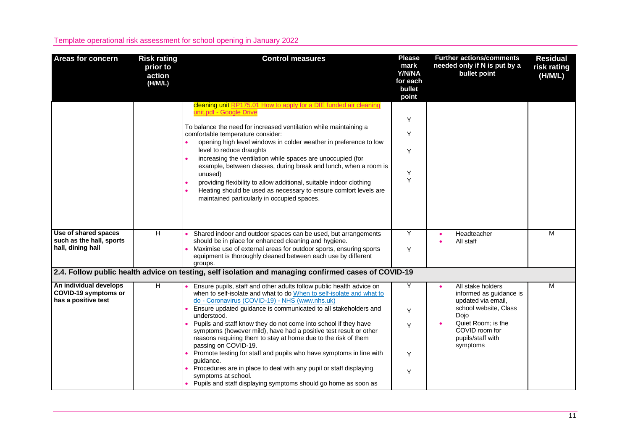| <b>Areas for concern</b>                                              | <b>Risk rating</b><br>prior to<br>action<br>(H/M/L) | <b>Control measures</b>                                                                                                                                                                                                                                                                                                                                                                                                                                                                                                                                                                                                                                                                                                                                                 | <b>Please</b><br>mark<br>Y/N/NA<br>for each<br>bullet<br>point | <b>Further actions/comments</b><br>needed only if N is put by a<br>bullet point                                                                                              | <b>Residual</b><br>risk rating<br>(H/M/L) |
|-----------------------------------------------------------------------|-----------------------------------------------------|-------------------------------------------------------------------------------------------------------------------------------------------------------------------------------------------------------------------------------------------------------------------------------------------------------------------------------------------------------------------------------------------------------------------------------------------------------------------------------------------------------------------------------------------------------------------------------------------------------------------------------------------------------------------------------------------------------------------------------------------------------------------------|----------------------------------------------------------------|------------------------------------------------------------------------------------------------------------------------------------------------------------------------------|-------------------------------------------|
|                                                                       |                                                     | cleaning unit RP175.01 How to apply for a DfE funded air cleaning<br>unit.pdf - Google Drive<br>To balance the need for increased ventilation while maintaining a<br>comfortable temperature consider:<br>opening high level windows in colder weather in preference to low<br>level to reduce draughts<br>increasing the ventilation while spaces are unoccupied (for<br>example, between classes, during break and lunch, when a room is<br>unused)<br>providing flexibility to allow additional, suitable indoor clothing<br>Heating should be used as necessary to ensure comfort levels are<br>maintained particularly in occupied spaces.                                                                                                                         | Y<br>Y<br>Y<br>Υ<br>Y                                          |                                                                                                                                                                              |                                           |
| Use of shared spaces<br>such as the hall, sports<br>hall, dining hall | H                                                   | Shared indoor and outdoor spaces can be used, but arrangements<br>should be in place for enhanced cleaning and hygiene.<br>Maximise use of external areas for outdoor sports, ensuring sports<br>equipment is thoroughly cleaned between each use by different<br>groups.                                                                                                                                                                                                                                                                                                                                                                                                                                                                                               | Y<br>Y                                                         | Headteacher<br>All staff                                                                                                                                                     | M                                         |
|                                                                       |                                                     | 2.4. Follow public health advice on testing, self isolation and managing confirmed cases of COVID-19                                                                                                                                                                                                                                                                                                                                                                                                                                                                                                                                                                                                                                                                    |                                                                |                                                                                                                                                                              |                                           |
| An individual develops<br>COVID-19 symptoms or<br>has a positive test | H                                                   | Ensure pupils, staff and other adults follow public health advice on<br>when to self-isolate and what to do When to self-isolate and what to<br>do - Coronavirus (COVID-19) - NHS (www.nhs.uk)<br>Ensure updated guidance is communicated to all stakeholders and<br>understood.<br>Pupils and staff know they do not come into school if they have<br>symptoms (however mild), have had a positive test result or other<br>reasons requiring them to stay at home due to the risk of them<br>passing on COVID-19.<br>Promote testing for staff and pupils who have symptoms in line with<br>guidance.<br>Procedures are in place to deal with any pupil or staff displaying<br>symptoms at school.<br>• Pupils and staff displaying symptoms should go home as soon as | Y<br>Y<br>Y<br>Y<br>Υ                                          | All stake holders<br>informed as guidance is<br>updated via email,<br>school website, Class<br>Dojo<br>Quiet Room; is the<br>COVID room for<br>pupils/staff with<br>symptoms | M                                         |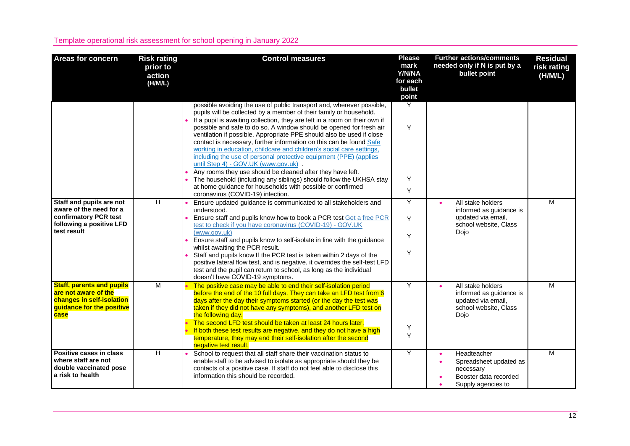| <b>Areas for concern</b>                                                                                                   | <b>Risk rating</b><br>prior to<br>action<br>(H/M/L) | <b>Control measures</b>                                                                                                                                                                                                                                                                                                                                                                                                                                                                                                                                                                                                                                                                                                                                                                                                                                                       | <b>Please</b><br>mark<br>Y/N/NA<br>for each<br>bullet<br>point | <b>Further actions/comments</b><br>needed only if N is put by a<br>bullet point                     | <b>Residual</b><br>risk rating<br>(H/M/L) |
|----------------------------------------------------------------------------------------------------------------------------|-----------------------------------------------------|-------------------------------------------------------------------------------------------------------------------------------------------------------------------------------------------------------------------------------------------------------------------------------------------------------------------------------------------------------------------------------------------------------------------------------------------------------------------------------------------------------------------------------------------------------------------------------------------------------------------------------------------------------------------------------------------------------------------------------------------------------------------------------------------------------------------------------------------------------------------------------|----------------------------------------------------------------|-----------------------------------------------------------------------------------------------------|-------------------------------------------|
|                                                                                                                            |                                                     | possible avoiding the use of public transport and, wherever possible,<br>pupils will be collected by a member of their family or household.<br>If a pupil is awaiting collection, they are left in a room on their own if<br>possible and safe to do so. A window should be opened for fresh air<br>ventilation if possible. Appropriate PPE should also be used if close<br>contact is necessary, further information on this can be found Safe<br>working in education, childcare and children's social care settings,<br>including the use of personal protective equipment (PPE) (applies<br>until Step 4) - GOV.UK (www.gov.uk).<br>Any rooms they use should be cleaned after they have left.<br>The household (including any siblings) should follow the UKHSA stay<br>at home guidance for households with possible or confirmed<br>coronavirus (COVID-19) infection. | Y<br>Y<br>Y<br>Y                                               |                                                                                                     |                                           |
| Staff and pupils are not<br>aware of the need for a<br>confirmatory PCR test<br>following a positive LFD<br>test result    | H                                                   | Ensure updated guidance is communicated to all stakeholders and<br>understood.<br>Ensure staff and pupils know how to book a PCR test Get a free PCR<br>test to check if you have coronavirus (COVID-19) - GOV.UK<br>(www.gov.uk)<br>Ensure staff and pupils know to self-isolate in line with the guidance<br>whilst awaiting the PCR result.<br>Staff and pupils know If the PCR test is taken within 2 days of the<br>positive lateral flow test, and is negative, it overrides the self-test LFD<br>test and the pupil can return to school, as long as the individual<br>doesn't have COVID-19 symptoms.                                                                                                                                                                                                                                                                 | Y<br>Y<br>Y<br>Y                                               | All stake holders<br>informed as guidance is<br>updated via email,<br>school website, Class<br>Dojo | M                                         |
| <b>Staff, parents and pupils</b><br>are not aware of the<br>changes in self-isolation<br>guidance for the positive<br>case | $\overline{\mathsf{M}}$                             | The positive case may be able to end their self-isolation period<br>before the end of the 10 full days. They can take an LFD test from 6<br>days after the day their symptoms started (or the day the test was<br>taken if they did not have any symptoms), and another LFD test on<br>the following day.<br>The second LFD test should be taken at least 24 hours later.<br>If both these test results are negative, and they do not have a high<br>temperature, they may end their self-isolation after the second<br>negative test result.                                                                                                                                                                                                                                                                                                                                 | Y<br>Υ<br>Y                                                    | All stake holders<br>informed as guidance is<br>updated via email,<br>school website, Class<br>Dojo | M                                         |
| Positive cases in class<br>where staff are not<br>double vaccinated pose<br>a risk to health                               | Ξ                                                   | School to request that all staff share their vaccination status to<br>enable staff to be advised to isolate as appropriate should they be<br>contacts of a positive case. If staff do not feel able to disclose this<br>information this should be recorded.                                                                                                                                                                                                                                                                                                                                                                                                                                                                                                                                                                                                                  | Υ                                                              | Headteacher<br>Spreadsheet updated as<br>necessary<br>Booster data recorded<br>Supply agencies to   | $\overline{M}$                            |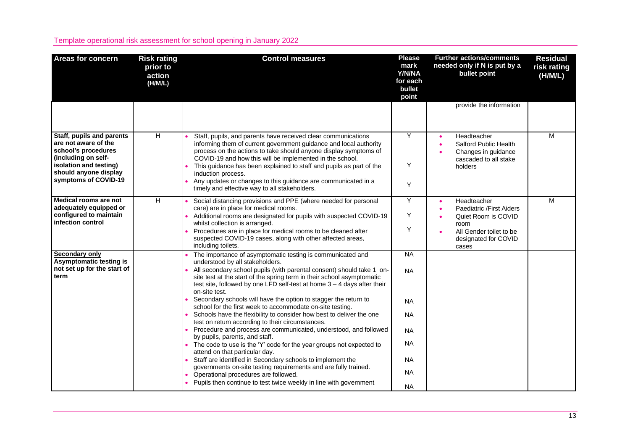| <b>Risk rating</b><br>prior to<br>action<br>(H/M/L) | <b>Control measures</b>                                                                                                                                                                                                                                                                                                                                                                                                                                                                                                                                                                                                                                                                                                                                                                                                                                                                                                                                                                            | <b>Please</b><br>mark<br>Y/N/NA<br>for each<br>bullet<br>point                                       | <b>Further actions/comments</b><br>needed only if N is put by a<br>bullet point                                                    | <b>Residual</b><br>risk rating<br>(H/M/L) |
|-----------------------------------------------------|----------------------------------------------------------------------------------------------------------------------------------------------------------------------------------------------------------------------------------------------------------------------------------------------------------------------------------------------------------------------------------------------------------------------------------------------------------------------------------------------------------------------------------------------------------------------------------------------------------------------------------------------------------------------------------------------------------------------------------------------------------------------------------------------------------------------------------------------------------------------------------------------------------------------------------------------------------------------------------------------------|------------------------------------------------------------------------------------------------------|------------------------------------------------------------------------------------------------------------------------------------|-------------------------------------------|
|                                                     |                                                                                                                                                                                                                                                                                                                                                                                                                                                                                                                                                                                                                                                                                                                                                                                                                                                                                                                                                                                                    |                                                                                                      | provide the information                                                                                                            |                                           |
| $\overline{H}$                                      | Staff, pupils, and parents have received clear communications<br>informing them of current government guidance and local authority<br>process on the actions to take should anyone display symptoms of<br>COVID-19 and how this will be implemented in the school.<br>This guidance has been explained to staff and pupils as part of the<br>induction process.<br>Any updates or changes to this guidance are communicated in a<br>timely and effective way to all stakeholders.                                                                                                                                                                                                                                                                                                                                                                                                                                                                                                                  | Y<br>Y<br>Y                                                                                          | Headteacher<br><b>Salford Public Health</b><br>Changes in guidance<br>cascaded to all stake<br>holders                             | M                                         |
| H                                                   | Social distancing provisions and PPE (where needed for personal<br>care) are in place for medical rooms.<br>Additional rooms are designated for pupils with suspected COVID-19<br>whilst collection is arranged.<br>Procedures are in place for medical rooms to be cleaned after<br>suspected COVID-19 cases, along with other affected areas,<br>including toilets.                                                                                                                                                                                                                                                                                                                                                                                                                                                                                                                                                                                                                              | Y<br>Y<br>Y                                                                                          | Headteacher<br>Paediatric /First Aiders<br>Quiet Room is COVID<br>room<br>All Gender toilet to be<br>designated for COVID<br>cases | M                                         |
|                                                     | The importance of asymptomatic testing is communicated and<br>understood by all stakeholders.<br>All secondary school pupils (with parental consent) should take 1 on-<br>site test at the start of the spring term in their school asymptomatic<br>test site, followed by one LFD self-test at home $3 - 4$ days after their<br>on-site test.<br>Secondary schools will have the option to stagger the return to<br>school for the first week to accommodate on-site testing.<br>Schools have the flexibility to consider how best to deliver the one<br>test on return according to their circumstances.<br>Procedure and process are communicated, understood, and followed<br>by pupils, parents, and staff.<br>The code to use is the 'Y' code for the year groups not expected to<br>attend on that particular day.<br>Staff are identified in Secondary schools to implement the<br>governments on-site testing requirements and are fully trained.<br>Operational procedures are followed. | <b>NA</b><br><b>NA</b><br><b>NA</b><br><b>NA</b><br><b>NA</b><br><b>NA</b><br><b>NA</b><br><b>NA</b> |                                                                                                                                    |                                           |
|                                                     |                                                                                                                                                                                                                                                                                                                                                                                                                                                                                                                                                                                                                                                                                                                                                                                                                                                                                                                                                                                                    | Pupils then continue to test twice weekly in line with government                                    | <b>NA</b>                                                                                                                          |                                           |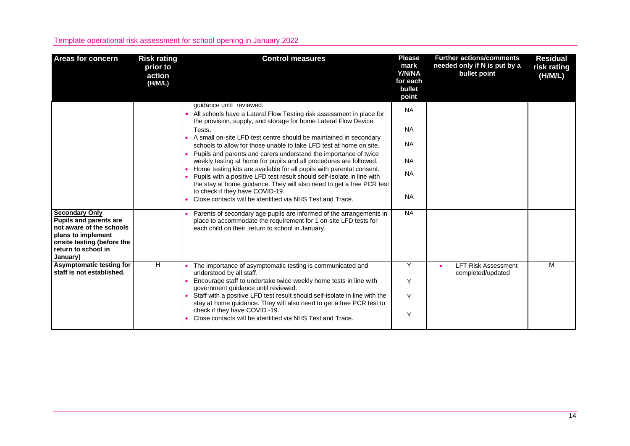| <b>Areas for concern</b>                                                                                                                                                  | <b>Risk rating</b><br>prior to<br>action<br>(H/M/L) | <b>Control measures</b>                                                                                                                                                                                                                                                                                                                                                                                                                                                                                                                                                                                                                                                                                                                                                                          | <b>Please</b><br>mark<br>Y/N/NA<br>for each<br>bullet<br>point             | <b>Further actions/comments</b><br>needed only if N is put by a<br>bullet point | <b>Residual</b><br>risk rating<br>(H/M/L) |
|---------------------------------------------------------------------------------------------------------------------------------------------------------------------------|-----------------------------------------------------|--------------------------------------------------------------------------------------------------------------------------------------------------------------------------------------------------------------------------------------------------------------------------------------------------------------------------------------------------------------------------------------------------------------------------------------------------------------------------------------------------------------------------------------------------------------------------------------------------------------------------------------------------------------------------------------------------------------------------------------------------------------------------------------------------|----------------------------------------------------------------------------|---------------------------------------------------------------------------------|-------------------------------------------|
|                                                                                                                                                                           |                                                     | guidance until reviewed.<br>All schools have a Lateral Flow Testing risk assessment in place for<br>the provision, supply, and storage for home Lateral Flow Device<br>Tests.<br>A small on-site LFD test centre should be maintained in secondary<br>schools to allow for those unable to take LFD test at home on site.<br>Pupils and parents and carers understand the importance of twice<br>weekly testing at home for pupils and all procedures are followed.<br>Home testing kits are available for all pupils with parental consent.<br>Pupils with a positive LFD test result should self-isolate in line with<br>the stay at home guidance. They will also need to get a free PCR test<br>to check if they have COVID-19.<br>Close contacts will be identified via NHS Test and Trace. | <b>NA</b><br><b>NA</b><br><b>NA</b><br><b>NA</b><br><b>NA</b><br><b>NA</b> |                                                                                 |                                           |
| <b>Secondary Only</b><br><b>Pupils and parents are</b><br>not aware of the schools<br>plans to implement<br>onsite testing (before the<br>return to school in<br>January) |                                                     | Parents of secondary age pupils are informed of the arrangements in<br>place to accommodate the requirement for 1 on-site LFD tests for<br>each child on their return to school in January.                                                                                                                                                                                                                                                                                                                                                                                                                                                                                                                                                                                                      | <b>NA</b>                                                                  |                                                                                 |                                           |
| Asymptomatic testing for<br>staff is not established.                                                                                                                     | H.                                                  | The importance of asymptomatic testing is communicated and<br>understood by all staff.<br>Encourage staff to undertake twice weekly home tests in line with<br>government guidance until reviewed.<br>Staff with a positive LFD test result should self-isolate in line with the<br>stay at home guidance. They will also need to get a free PCR test to<br>check if they have COVID-19.<br>Close contacts will be identified via NHS Test and Trace.                                                                                                                                                                                                                                                                                                                                            | Y<br>Y<br>Y<br>Y                                                           | <b>LFT Risk Assessment</b><br>completed/updated                                 | M                                         |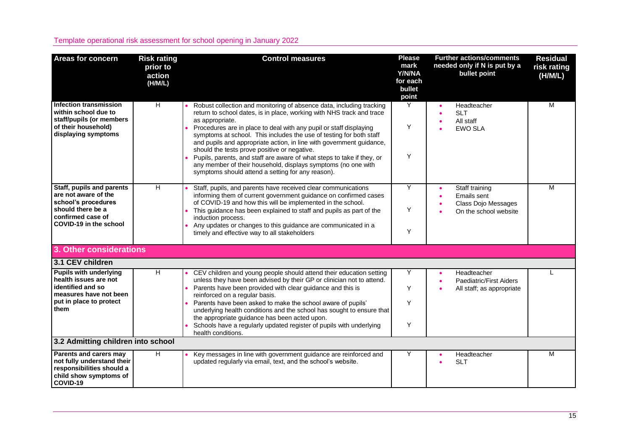| <b>Areas for concern</b>                                                                                                                     | <b>Risk rating</b><br>prior to<br>action<br>(H/M/L) | <b>Control measures</b>                                                                                                                                                                                                                                                                                                                                                                                                                                                                                                                                                                                                               | <b>Please</b><br>mark<br>Y/N/NA<br>for each<br>bullet<br>point | <b>Further actions/comments</b><br>needed only if N is put by a<br>bullet point | <b>Residual</b><br>risk rating<br>(H/M/L) |
|----------------------------------------------------------------------------------------------------------------------------------------------|-----------------------------------------------------|---------------------------------------------------------------------------------------------------------------------------------------------------------------------------------------------------------------------------------------------------------------------------------------------------------------------------------------------------------------------------------------------------------------------------------------------------------------------------------------------------------------------------------------------------------------------------------------------------------------------------------------|----------------------------------------------------------------|---------------------------------------------------------------------------------|-------------------------------------------|
| Infection transmission<br>within school due to<br>staff/pupils (or members<br>of their household)<br>displaying symptoms                     | $\overline{H}$                                      | Robust collection and monitoring of absence data, including tracking<br>return to school dates, is in place, working with NHS track and trace<br>as appropriate.<br>Procedures are in place to deal with any pupil or staff displaying<br>symptoms at school. This includes the use of testing for both staff<br>and pupils and appropriate action, in line with government guidance,<br>should the tests prove positive or negative.<br>Pupils, parents, and staff are aware of what steps to take if they, or<br>any member of their household, displays symptoms (no one with<br>symptoms should attend a setting for any reason). | Y<br>Y<br>Y                                                    | Headteacher<br><b>SLT</b><br>All staff<br><b>EWO SLA</b>                        | $\overline{M}$                            |
| Staff, pupils and parents<br>are not aware of the<br>school's procedures<br>should there be a<br>confirmed case of<br>COVID-19 in the school | H                                                   | Staff, pupils, and parents have received clear communications<br>informing them of current government guidance on confirmed cases<br>of COVID-19 and how this will be implemented in the school.<br>This guidance has been explained to staff and pupils as part of the<br>induction process.<br>Any updates or changes to this guidance are communicated in a<br>timely and effective way to all stakeholders                                                                                                                                                                                                                        | Y<br>Y<br>Y                                                    | Staff training<br>Emails sent<br>Class Dojo Messages<br>On the school website   | M                                         |
| 3. Other considerations                                                                                                                      |                                                     |                                                                                                                                                                                                                                                                                                                                                                                                                                                                                                                                                                                                                                       |                                                                |                                                                                 |                                           |
| 3.1 CEV children                                                                                                                             |                                                     |                                                                                                                                                                                                                                                                                                                                                                                                                                                                                                                                                                                                                                       |                                                                |                                                                                 |                                           |
| <b>Pupils with underlying</b><br>health issues are not<br>identified and so<br>measures have not been<br>put in place to protect<br>them     | $\overline{H}$                                      | CEV children and young people should attend their education setting<br>unless they have been advised by their GP or clinician not to attend.<br>Parents have been provided with clear guidance and this is<br>reinforced on a regular basis.<br>Parents have been asked to make the school aware of pupils'<br>underlying health conditions and the school has sought to ensure that<br>the appropriate guidance has been acted upon.<br>Schools have a regularly updated register of pupils with underlying<br>health conditions.                                                                                                    | Y<br>Y<br>Y<br>Y                                               | Headteacher<br>Paediatric/First Aiders<br>All staff; as appropriate             |                                           |
| 3.2 Admitting children into school                                                                                                           |                                                     |                                                                                                                                                                                                                                                                                                                                                                                                                                                                                                                                                                                                                                       |                                                                |                                                                                 |                                           |
| Parents and carers may<br>not fully understand their<br>responsibilities should a<br>child show symptoms of<br>COVID-19                      | H                                                   | Key messages in line with government guidance are reinforced and<br>updated regularly via email, text, and the school's website.                                                                                                                                                                                                                                                                                                                                                                                                                                                                                                      | Υ                                                              | Headteacher<br><b>SLT</b>                                                       | M                                         |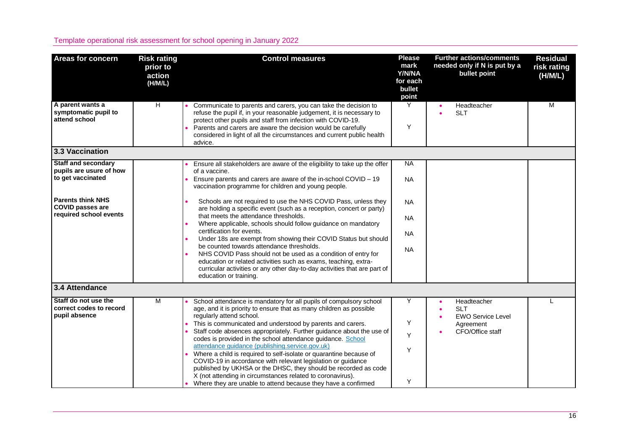| <b>Areas for concern</b>                                                                                                                                    | <b>Risk rating</b><br>prior to<br>action<br>(H/M/L) | <b>Control measures</b>                                                                                                                                                                                                                                                                                                                                                                                                                                                                                                                                                                                                                                                                                                                                                                                                                                            | <b>Please</b><br>mark<br>Y/N/NA<br>for each<br>bullet<br>point             | <b>Further actions/comments</b><br>needed only if N is put by a<br>bullet point        | <b>Residual</b><br>risk rating<br>(H/M/L) |
|-------------------------------------------------------------------------------------------------------------------------------------------------------------|-----------------------------------------------------|--------------------------------------------------------------------------------------------------------------------------------------------------------------------------------------------------------------------------------------------------------------------------------------------------------------------------------------------------------------------------------------------------------------------------------------------------------------------------------------------------------------------------------------------------------------------------------------------------------------------------------------------------------------------------------------------------------------------------------------------------------------------------------------------------------------------------------------------------------------------|----------------------------------------------------------------------------|----------------------------------------------------------------------------------------|-------------------------------------------|
| A parent wants a<br>symptomatic pupil to<br>attend school                                                                                                   | H                                                   | Communicate to parents and carers, you can take the decision to<br>refuse the pupil if, in your reasonable judgement, it is necessary to<br>protect other pupils and staff from infection with COVID-19.<br>Parents and carers are aware the decision would be carefully<br>considered in light of all the circumstances and current public health<br>advice.                                                                                                                                                                                                                                                                                                                                                                                                                                                                                                      | Υ<br>Y                                                                     | Headteacher<br><b>SLT</b>                                                              | M                                         |
| 3.3 Vaccination                                                                                                                                             |                                                     |                                                                                                                                                                                                                                                                                                                                                                                                                                                                                                                                                                                                                                                                                                                                                                                                                                                                    |                                                                            |                                                                                        |                                           |
| <b>Staff and secondary</b><br>pupils are usure of how<br>to get vaccinated<br><b>Parents think NHS</b><br><b>COVID passes are</b><br>required school events |                                                     | Ensure all stakeholders are aware of the eligibility to take up the offer<br>of a vaccine.<br>Ensure parents and carers are aware of the in-school COVID - 19<br>vaccination programme for children and young people.<br>Schools are not required to use the NHS COVID Pass, unless they<br>are holding a specific event (such as a reception, concert or party)<br>that meets the attendance thresholds.<br>Where applicable, schools should follow guidance on mandatory<br>certification for events.<br>Under 18s are exempt from showing their COVID Status but should<br>be counted towards attendance thresholds.<br>NHS COVID Pass should not be used as a condition of entry for<br>education or related activities such as exams, teaching, extra-<br>curricular activities or any other day-to-day activities that are part of<br>education or training. | <b>NA</b><br><b>NA</b><br><b>NA</b><br><b>NA</b><br><b>NA</b><br><b>NA</b> |                                                                                        |                                           |
| 3.4 Attendance                                                                                                                                              |                                                     |                                                                                                                                                                                                                                                                                                                                                                                                                                                                                                                                                                                                                                                                                                                                                                                                                                                                    |                                                                            |                                                                                        |                                           |
| Staff do not use the<br>correct codes to record<br>pupil absence                                                                                            | M                                                   | School attendance is mandatory for all pupils of compulsory school<br>age, and it is priority to ensure that as many children as possible<br>regularly attend school.<br>This is communicated and understood by parents and carers.<br>Staff code absences appropriately. Further guidance about the use of<br>codes is provided in the school attendance guidance. School<br>attendance guidance (publishing.service.gov.uk)<br>Where a child is required to self-isolate or quarantine because of<br>COVID-19 in accordance with relevant legislation or guidance<br>published by UKHSA or the DHSC, they should be recorded as code<br>X (not attending in circumstances related to coronavirus).<br>Where they are unable to attend because they have a confirmed                                                                                              | Y<br>Υ<br>Y<br>Y<br>Y                                                      | Headteacher<br><b>SLT</b><br><b>EWO Service Level</b><br>Agreement<br>CFO/Office staff |                                           |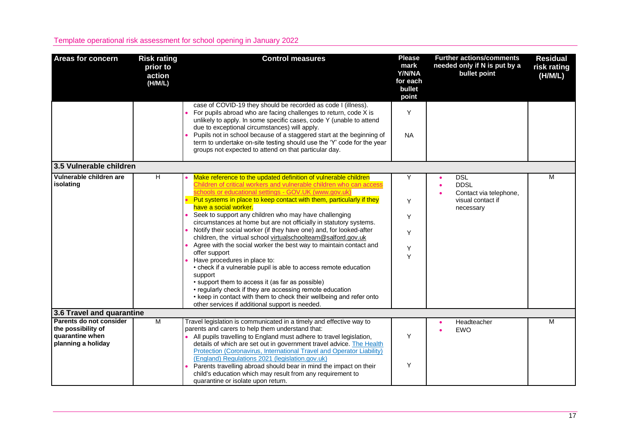| <b>Areas for concern</b>                                                               | <b>Risk rating</b><br>prior to<br>action<br>(H/M/L) | <b>Control measures</b>                                                                                                                                                                                                                                                                                                                                                                                                                                                                                                                                                                                                                                                                                                                                                                                                                                                                                                                                                                                                | <b>Please</b><br>mark<br>Y/N/NA<br>for each<br>bullet<br>point | <b>Further actions/comments</b><br>needed only if N is put by a<br>bullet point       | <b>Residual</b><br>risk rating<br>(H/M/L) |
|----------------------------------------------------------------------------------------|-----------------------------------------------------|------------------------------------------------------------------------------------------------------------------------------------------------------------------------------------------------------------------------------------------------------------------------------------------------------------------------------------------------------------------------------------------------------------------------------------------------------------------------------------------------------------------------------------------------------------------------------------------------------------------------------------------------------------------------------------------------------------------------------------------------------------------------------------------------------------------------------------------------------------------------------------------------------------------------------------------------------------------------------------------------------------------------|----------------------------------------------------------------|---------------------------------------------------------------------------------------|-------------------------------------------|
|                                                                                        |                                                     | case of COVID-19 they should be recorded as code I (illness).<br>For pupils abroad who are facing challenges to return, code X is<br>unlikely to apply. In some specific cases, code Y (unable to attend<br>due to exceptional circumstances) will apply.<br>Pupils not in school because of a staggered start at the beginning of<br>term to undertake on-site testing should use the 'Y' code for the year<br>groups not expected to attend on that particular day.                                                                                                                                                                                                                                                                                                                                                                                                                                                                                                                                                  | Υ<br><b>NA</b>                                                 |                                                                                       |                                           |
| 3.5 Vulnerable children                                                                |                                                     |                                                                                                                                                                                                                                                                                                                                                                                                                                                                                                                                                                                                                                                                                                                                                                                                                                                                                                                                                                                                                        |                                                                |                                                                                       |                                           |
| Vulnerable children are<br>isolating                                                   | H                                                   | Make reference to the updated definition of vulnerable children<br>Children of critical workers and vulnerable children who can access<br>schools or educational settings - GOV.UK (www.gov.uk)<br>Put systems in place to keep contact with them, particularly if they<br>have a social worker.<br>Seek to support any children who may have challenging<br>circumstances at home but are not officially in statutory systems.<br>Notify their social worker (if they have one) and, for looked-after<br>children, the virtual school virtualschoolteam@salford.gov.uk<br>Agree with the social worker the best way to maintain contact and<br>offer support<br>Have procedures in place to:<br>• check if a vulnerable pupil is able to access remote education<br>support<br>• support them to access it (as far as possible)<br>• regularly check if they are accessing remote education<br>• keep in contact with them to check their wellbeing and refer onto<br>other services if additional support is needed. | Y<br>Y<br>Y<br>Y<br>Υ<br>Y                                     | <b>DSL</b><br><b>DDSL</b><br>Contact via telephone,<br>visual contact if<br>necessary | М                                         |
| 3.6 Travel and quarantine                                                              |                                                     |                                                                                                                                                                                                                                                                                                                                                                                                                                                                                                                                                                                                                                                                                                                                                                                                                                                                                                                                                                                                                        |                                                                |                                                                                       |                                           |
| Parents do not consider<br>the possibility of<br>quarantine when<br>planning a holiday | $\overline{M}$                                      | Travel legislation is communicated in a timely and effective way to<br>parents and carers to help them understand that:<br>All pupils travelling to England must adhere to travel legislation,<br>details of which are set out in government travel advice. The Health<br>Protection (Coronavirus, International Travel and Operator Liability)<br>(England) Regulations 2021 (legislation.gov.uk)<br>Parents travelling abroad should bear in mind the impact on their<br>child's education which may result from any requirement to<br>quarantine or isolate upon return.                                                                                                                                                                                                                                                                                                                                                                                                                                            | Υ<br>Υ                                                         | Headteacher<br><b>EWO</b>                                                             | м                                         |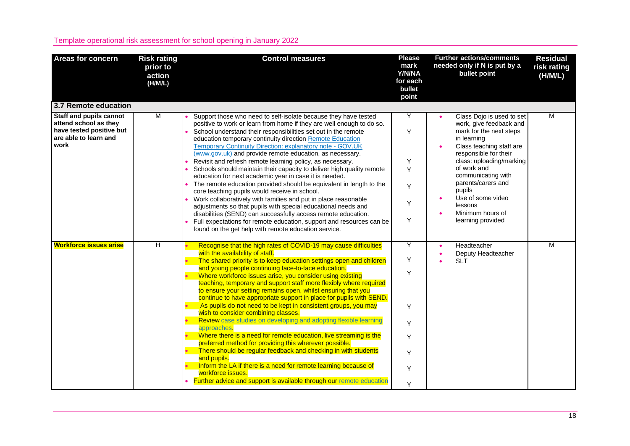| <b>Areas for concern</b>                                                                                             | <b>Risk rating</b><br>prior to<br>action<br>(H/M/L) | <b>Control measures</b>                                                                                                                                                                                                                                                                                                                                                                                                                                                                                                                                                                                                                                                                                                                                                                                                                                                                                                                                                                                                                                                                  | <b>Please</b><br>mark<br>Y/N/NA<br>for each<br>bullet<br>point | <b>Further actions/comments</b><br>needed only if N is put by a<br>bullet point                                                                                                                                                                                                                                               | <b>Residual</b><br>risk rating<br>(H/M/L) |
|----------------------------------------------------------------------------------------------------------------------|-----------------------------------------------------|------------------------------------------------------------------------------------------------------------------------------------------------------------------------------------------------------------------------------------------------------------------------------------------------------------------------------------------------------------------------------------------------------------------------------------------------------------------------------------------------------------------------------------------------------------------------------------------------------------------------------------------------------------------------------------------------------------------------------------------------------------------------------------------------------------------------------------------------------------------------------------------------------------------------------------------------------------------------------------------------------------------------------------------------------------------------------------------|----------------------------------------------------------------|-------------------------------------------------------------------------------------------------------------------------------------------------------------------------------------------------------------------------------------------------------------------------------------------------------------------------------|-------------------------------------------|
| 3.7 Remote education                                                                                                 |                                                     |                                                                                                                                                                                                                                                                                                                                                                                                                                                                                                                                                                                                                                                                                                                                                                                                                                                                                                                                                                                                                                                                                          |                                                                |                                                                                                                                                                                                                                                                                                                               |                                           |
| <b>Staff and pupils cannot</b><br>attend school as they<br>have tested positive but<br>are able to learn and<br>work | M                                                   | Support those who need to self-isolate because they have tested<br>positive to work or learn from home if they are well enough to do so.<br>School understand their responsibilities set out in the remote<br>education temporary continuity direction Remote Education<br>Temporary Continuity Direction: explanatory note - GOV.UK<br>(www.gov.uk) and provide remote education, as necessary.<br>Revisit and refresh remote learning policy, as necessary.<br>Schools should maintain their capacity to deliver high quality remote<br>education for next academic year in case it is needed.<br>The remote education provided should be equivalent in length to the<br>core teaching pupils would receive in school.<br>Work collaboratively with families and put in place reasonable<br>adjustments so that pupils with special educational needs and<br>disabilities (SEND) can successfully access remote education.<br>Full expectations for remote education, support and resources can be<br>found on the get help with remote education service.                             | Y<br>Y<br>Υ<br>Y<br>Y<br>Υ<br>Y                                | Class Dojo is used to set<br>work, give feedback and<br>mark for the next steps<br>in learning<br>Class teaching staff are<br>responsible for their<br>class: uploading/marking<br>of work and<br>communicating with<br>parents/carers and<br>pupils<br>Use of some video<br>lessons<br>Minimum hours of<br>learning provided | M                                         |
| <b>Workforce issues arise</b>                                                                                        | $\overline{H}$                                      | Recognise that the high rates of COVID-19 may cause difficulties<br>with the availability of staff.<br>The shared priority is to keep education settings open and children<br>and young people continuing face-to-face education.<br>Where workforce issues arise, you consider using existing<br>teaching, temporary and support staff more flexibly where required<br>to ensure your setting remains open, whilst ensuring that you<br>continue to have appropriate support in place for pupils with SEND.<br>As pupils do not need to be kept in consistent groups, you may<br>wish to consider combining classes.<br>Review case studies on developing and adopting flexible learning<br>approaches.<br>Where there is a need for remote education, live streaming is the<br>preferred method for providing this wherever possible.<br>There should be regular feedback and checking in with students<br>and pupils.<br>Inform the LA if there is a need for remote learning because of<br>workforce issues.<br>Further advice and support is available through our remote education | Υ<br>Y<br>Y<br>Y<br>Y<br>Y<br>Y<br>Y<br>Y                      | Headteacher<br>Deputy Headteacher<br><b>SLT</b>                                                                                                                                                                                                                                                                               | $\overline{M}$                            |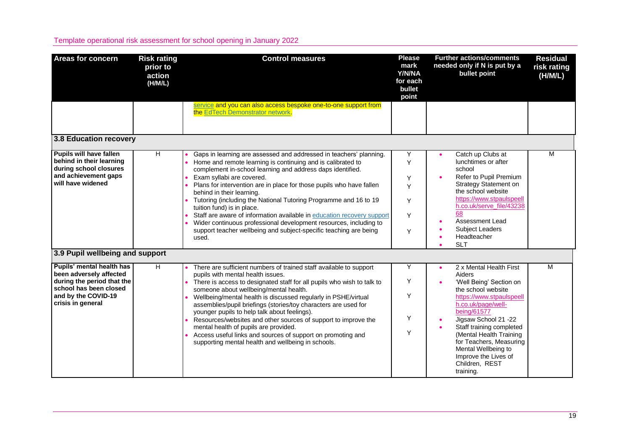| <b>Areas for concern</b>                                                                                                                                      | <b>Risk rating</b><br>prior to<br>action<br>(H/M/L) | <b>Control measures</b>                                                                                                                                                                                                                                                                                                                                                                                                                                                                                                                                                                                                                                          | <b>Please</b><br>mark<br>Y/N/NA<br>for each<br>bullet<br>point | <b>Further actions/comments</b><br>needed only if N is put by a<br>bullet point                                                                                                                                                                                                                                                             | <b>Residual</b><br>risk rating<br>(H/M/L) |
|---------------------------------------------------------------------------------------------------------------------------------------------------------------|-----------------------------------------------------|------------------------------------------------------------------------------------------------------------------------------------------------------------------------------------------------------------------------------------------------------------------------------------------------------------------------------------------------------------------------------------------------------------------------------------------------------------------------------------------------------------------------------------------------------------------------------------------------------------------------------------------------------------------|----------------------------------------------------------------|---------------------------------------------------------------------------------------------------------------------------------------------------------------------------------------------------------------------------------------------------------------------------------------------------------------------------------------------|-------------------------------------------|
|                                                                                                                                                               |                                                     | service and you can also access bespoke one-to-one support from<br>the EdTech Demonstrator network.                                                                                                                                                                                                                                                                                                                                                                                                                                                                                                                                                              |                                                                |                                                                                                                                                                                                                                                                                                                                             |                                           |
| <b>3.8 Education recovery</b>                                                                                                                                 |                                                     |                                                                                                                                                                                                                                                                                                                                                                                                                                                                                                                                                                                                                                                                  |                                                                |                                                                                                                                                                                                                                                                                                                                             |                                           |
| Pupils will have fallen<br>behind in their learning<br>during school closures<br>and achievement gaps<br>will have widened<br>3.9 Pupil wellbeing and support | H                                                   | Gaps in learning are assessed and addressed in teachers' planning.<br>Home and remote learning is continuing and is calibrated to<br>complement in-school learning and address daps identified.<br>Exam syllabi are covered.<br>Plans for intervention are in place for those pupils who have fallen<br>behind in their learning.<br>Tutoring (including the National Tutoring Programme and 16 to 19<br>tuition fund) is in place.<br>Staff are aware of information available in education recovery support<br>Wider continuous professional development resources, including to<br>support teacher wellbeing and subject-specific teaching are being<br>used. | Υ<br>Y<br>Y<br>Y<br>Y<br>Y<br>Y                                | Catch up Clubs at<br>lunchtimes or after<br>school<br>Refer to Pupil Premium<br><b>Strategy Statement on</b><br>the school website<br>https://www.stpaulspeell<br>h.co.uk/serve_file/43238<br>68<br>Assessment Lead<br>Subject Leaders<br>Headteacher<br><b>SLT</b>                                                                         | М                                         |
| Pupils' mental health has<br>been adversely affected<br>during the period that the<br>school has been closed<br>and by the COVID-19<br>crisis in general      | H                                                   | There are sufficient numbers of trained staff available to support<br>pupils with mental health issues.<br>There is access to designated staff for all pupils who wish to talk to<br>someone about wellbeing/mental health.<br>Wellbeing/mental health is discussed regularly in PSHE/virtual<br>assemblies/pupil briefings (stories/toy characters are used for<br>younger pupils to help talk about feelings).<br>Resources/websites and other sources of support to improve the<br>mental health of pupils are provided.<br>Access useful links and sources of support on promoting and<br>supporting mental health and wellbeing in schools.                 | Y<br>Y<br>Y<br>Υ<br>Y                                          | 2 x Mental Health First<br>Aiders<br>'Well Being' Section on<br>the school website<br>https://www.stpaulspeell<br>h.co.uk/page/well-<br>being/61577<br>Jigsaw School 21 -22<br>Staff training completed<br>(Mental Health Training<br>for Teachers, Measuring<br>Mental Wellbeing to<br>Improve the Lives of<br>Children, REST<br>training. | M                                         |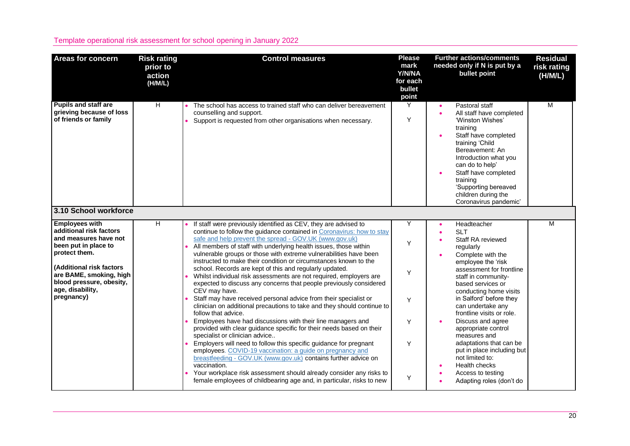| <b>Areas for concern</b>                                                                                                                                                                                                                | <b>Risk rating</b><br>prior to<br>action<br>(H/M/L) | <b>Control measures</b>                                                                                                                                                                                                                                                                                                                                                                                                                                                                                                                                                                                                                                                                                                                                                                                                                                                                                                                                                                                                                                                                                                                                                                                                                                                                                                                                    | <b>Please</b><br>mark<br>Y/N/NA<br>for each<br>bullet<br>point | <b>Further actions/comments</b><br>needed only if N is put by a<br>bullet point                                                                                                                                                                                                                                                                                                                                                                                                                 | <b>Residual</b><br>risk rating<br>(H/M/L) |
|-----------------------------------------------------------------------------------------------------------------------------------------------------------------------------------------------------------------------------------------|-----------------------------------------------------|------------------------------------------------------------------------------------------------------------------------------------------------------------------------------------------------------------------------------------------------------------------------------------------------------------------------------------------------------------------------------------------------------------------------------------------------------------------------------------------------------------------------------------------------------------------------------------------------------------------------------------------------------------------------------------------------------------------------------------------------------------------------------------------------------------------------------------------------------------------------------------------------------------------------------------------------------------------------------------------------------------------------------------------------------------------------------------------------------------------------------------------------------------------------------------------------------------------------------------------------------------------------------------------------------------------------------------------------------------|----------------------------------------------------------------|-------------------------------------------------------------------------------------------------------------------------------------------------------------------------------------------------------------------------------------------------------------------------------------------------------------------------------------------------------------------------------------------------------------------------------------------------------------------------------------------------|-------------------------------------------|
| <b>Pupils and staff are</b><br>grieving because of loss<br>of friends or family                                                                                                                                                         | H                                                   | The school has access to trained staff who can deliver bereavement<br>counselling and support.<br>Support is requested from other organisations when necessary.                                                                                                                                                                                                                                                                                                                                                                                                                                                                                                                                                                                                                                                                                                                                                                                                                                                                                                                                                                                                                                                                                                                                                                                            | Y<br>Υ                                                         | Pastoral staff<br>All staff have completed<br>$\bullet$<br>'Winston Wishes'<br>training<br>Staff have completed<br>training 'Child<br>Bereavement: An<br>Introduction what you<br>can do to help'<br>Staff have completed<br>training<br>'Supporting bereaved<br>children during the<br>Coronavirus pandemic'                                                                                                                                                                                   | M                                         |
| 3.10 School workforce                                                                                                                                                                                                                   |                                                     |                                                                                                                                                                                                                                                                                                                                                                                                                                                                                                                                                                                                                                                                                                                                                                                                                                                                                                                                                                                                                                                                                                                                                                                                                                                                                                                                                            |                                                                |                                                                                                                                                                                                                                                                                                                                                                                                                                                                                                 |                                           |
| <b>Employees with</b><br>additional risk factors<br>and measures have not<br>been put in place to<br>protect them.<br>(Additional risk factors<br>are BAME, smoking, high<br>blood pressure, obesity,<br>age, disability,<br>pregnancy) | н                                                   | If staff were previously identified as CEV, they are advised to<br>continue to follow the guidance contained in Coronavirus: how to stay<br>safe and help prevent the spread - GOV.UK (www.gov.uk)<br>All members of staff with underlying health issues, those within<br>vulnerable groups or those with extreme vulnerabilities have been<br>instructed to make their condition or circumstances known to the<br>school. Records are kept of this and regularly updated.<br>Whilst individual risk assessments are not required, employers are<br>expected to discuss any concerns that people previously considered<br>CEV may have.<br>Staff may have received personal advice from their specialist or<br>clinician on additional precautions to take and they should continue to<br>follow that advice.<br>Employees have had discussions with their line managers and<br>provided with clear guidance specific for their needs based on their<br>specialist or clinician advice<br>Employers will need to follow this specific guidance for pregnant<br>employees. COVID-19 vaccination: a guide on pregnancy and<br>breastfeeding - GOV.UK (www.gov.uk) contains further advice on<br>vaccination.<br>Your workplace risk assessment should already consider any risks to<br>female employees of childbearing age and, in particular, risks to new | Y<br>Y<br>Y<br>Y<br>Υ<br>Y<br>Y                                | Headteacher<br><b>SLT</b><br>Staff RA reviewed<br>regularly<br>Complete with the<br>employee the 'risk<br>assessment for frontline<br>staff in community-<br>based services or<br>conducting home visits<br>in Salford' before they<br>can undertake any<br>frontline visits or role.<br>Discuss and agree<br>appropriate control<br>measures and<br>adaptations that can be<br>put in place including but<br>not limited to:<br>Health checks<br>Access to testing<br>Adapting roles (don't do | М                                         |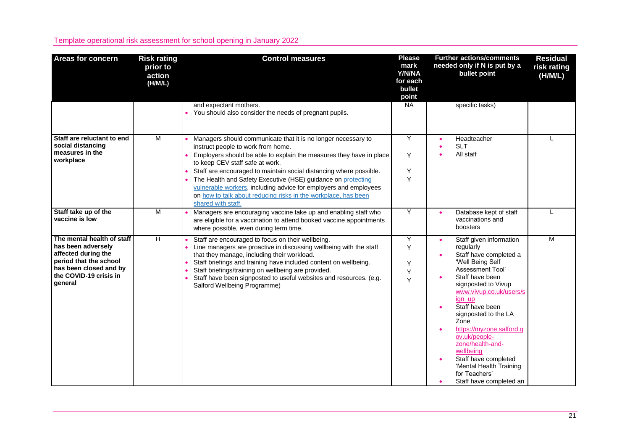| <b>Areas for concern</b>                                                                                                                                         | <b>Risk rating</b><br>prior to<br>action<br>(H/M/L) | <b>Control measures</b>                                                                                                                                                                                                                                                                                                                                                                                                                                                                                         | <b>Please</b><br>mark<br>Y/N/NA<br>for each<br>bullet<br>point | <b>Further actions/comments</b><br>needed only if N is put by a<br>bullet point                                                                                                                                                                                                                                                                                                                                       | <b>Residual</b><br>risk rating<br>(H/M/L) |
|------------------------------------------------------------------------------------------------------------------------------------------------------------------|-----------------------------------------------------|-----------------------------------------------------------------------------------------------------------------------------------------------------------------------------------------------------------------------------------------------------------------------------------------------------------------------------------------------------------------------------------------------------------------------------------------------------------------------------------------------------------------|----------------------------------------------------------------|-----------------------------------------------------------------------------------------------------------------------------------------------------------------------------------------------------------------------------------------------------------------------------------------------------------------------------------------------------------------------------------------------------------------------|-------------------------------------------|
|                                                                                                                                                                  |                                                     | and expectant mothers.<br>You should also consider the needs of pregnant pupils.                                                                                                                                                                                                                                                                                                                                                                                                                                | $N_A$                                                          | specific tasks)                                                                                                                                                                                                                                                                                                                                                                                                       |                                           |
| Staff are reluctant to end<br>social distancing<br>measures in the<br>workplace                                                                                  | $\overline{M}$                                      | Managers should communicate that it is no longer necessary to<br>instruct people to work from home.<br>Employers should be able to explain the measures they have in place<br>to keep CEV staff safe at work.<br>Staff are encouraged to maintain social distancing where possible.<br>The Health and Safety Executive (HSE) guidance on protecting<br>vulnerable workers, including advice for employers and employees<br>on how to talk about reducing risks in the workplace, has been<br>shared with staff. | Y<br>Y<br>Υ<br>Y                                               | Headteacher<br><b>SLT</b><br>All staff                                                                                                                                                                                                                                                                                                                                                                                |                                           |
| Staff take up of the<br>vaccine is low                                                                                                                           | M                                                   | Managers are encouraging vaccine take up and enabling staff who<br>are eligible for a vaccination to attend booked vaccine appointments<br>where possible, even during term time.                                                                                                                                                                                                                                                                                                                               | Y                                                              | Database kept of staff<br>vaccinations and<br>boosters                                                                                                                                                                                                                                                                                                                                                                |                                           |
| The mental health of staff<br>has been adversely<br>affected during the<br>period that the school<br>has been closed and by<br>the COVID-19 crisis in<br>general | н                                                   | Staff are encouraged to focus on their wellbeing.<br>Line managers are proactive in discussing wellbeing with the staff<br>that they manage, including their workload.<br>Staff briefings and training have included content on wellbeing.<br>Staff briefings/training on wellbeing are provided.<br>Staff have been signposted to useful websites and resources. (e.g.<br>Salford Wellbeing Programme)                                                                                                         | Y<br>Y<br>Y<br>Υ<br>Y                                          | Staff given information<br>regularly<br>Staff have completed a<br>'Well Being Self<br>Assessment Tool'<br>Staff have been<br>signposted to Vivup<br>www.vivup.co.uk/users/s<br>ign_up<br>Staff have been<br>signposted to the LA<br>Zone<br>https://myzone.salford.g<br>ov.uk/people-<br>zone/health-and-<br>wellbeing<br>Staff have completed<br>'Mental Health Training<br>for Teachers'<br>Staff have completed an | M                                         |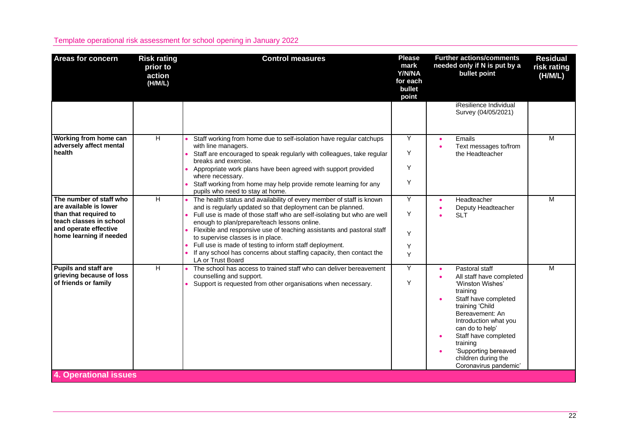| <b>Areas for concern</b>                                                                                                                                  | <b>Risk rating</b><br>prior to<br>action<br>(H/M/L) | <b>Control measures</b>                                                                                                                                                                                                                                                                                                                                                                                                                                                                                                              | <b>Please</b><br>mark<br>Y/N/NA<br>for each<br>bullet<br>point | <b>Further actions/comments</b><br>needed only if N is put by a<br>bullet point                                                                                                                                                                                                                               | <b>Residual</b><br>risk rating<br>(H/M/L) |
|-----------------------------------------------------------------------------------------------------------------------------------------------------------|-----------------------------------------------------|--------------------------------------------------------------------------------------------------------------------------------------------------------------------------------------------------------------------------------------------------------------------------------------------------------------------------------------------------------------------------------------------------------------------------------------------------------------------------------------------------------------------------------------|----------------------------------------------------------------|---------------------------------------------------------------------------------------------------------------------------------------------------------------------------------------------------------------------------------------------------------------------------------------------------------------|-------------------------------------------|
|                                                                                                                                                           |                                                     |                                                                                                                                                                                                                                                                                                                                                                                                                                                                                                                                      |                                                                | iResilience Individual<br>Survey (04/05/2021)                                                                                                                                                                                                                                                                 |                                           |
| Working from home can<br>adversely affect mental<br>health                                                                                                | $\overline{H}$                                      | Staff working from home due to self-isolation have regular catchups<br>with line managers.<br>Staff are encouraged to speak regularly with colleagues, take regular<br>breaks and exercise.<br>Appropriate work plans have been agreed with support provided<br>where necessary.<br>Staff working from home may help provide remote learning for any<br>pupils who need to stay at home.                                                                                                                                             | Υ<br>Y<br>Υ<br>Y                                               | Emails<br>Text messages to/from<br>the Headteacher                                                                                                                                                                                                                                                            | M                                         |
| The number of staff who<br>are available is lower<br>than that required to<br>teach classes in school<br>and operate effective<br>home learning if needed | H                                                   | The health status and availability of every member of staff is known<br>and is regularly updated so that deployment can be planned.<br>Full use is made of those staff who are self-isolating but who are well<br>enough to plan/prepare/teach lessons online.<br>Flexible and responsive use of teaching assistants and pastoral staff<br>to supervise classes is in place.<br>Full use is made of testing to inform staff deployment.<br>If any school has concerns about staffing capacity, then contact the<br>LA or Trust Board | Υ<br>Y<br>Y<br>Y<br>Y                                          | Headteacher<br>Deputy Headteacher<br><b>SLT</b>                                                                                                                                                                                                                                                               | M                                         |
| <b>Pupils and staff are</b><br>grieving because of loss<br>of friends or family<br><b>4. Operational issues</b>                                           | H                                                   | The school has access to trained staff who can deliver bereavement<br>counselling and support.<br>Support is requested from other organisations when necessary.                                                                                                                                                                                                                                                                                                                                                                      | Υ<br>Y                                                         | Pastoral staff<br>All staff have completed<br>'Winston Wishes'<br>training<br>Staff have completed<br>training 'Child<br>Bereavement: An<br>Introduction what you<br>can do to help'<br>Staff have completed<br>$\bullet$<br>training<br>'Supporting bereaved<br>children during the<br>Coronavirus pandemic' | M                                         |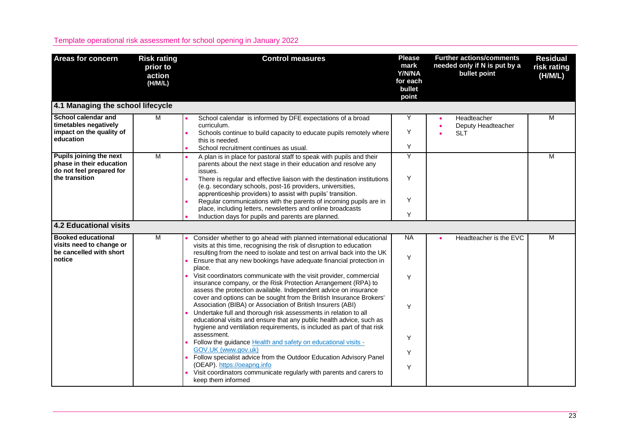| <b>Areas for concern</b>                                                                          | <b>Risk rating</b><br>prior to<br>action<br>(H/M/L) | <b>Control measures</b>                                                                                                                                                                                                                                                                                                                                                                                                                                                                                                                               | <b>Please</b><br>mark<br>Y/N/NA<br>for each<br>bullet<br>point | <b>Further actions/comments</b><br>needed only if N is put by a<br>bullet point | <b>Residual</b><br>risk rating<br>(H/M/L) |
|---------------------------------------------------------------------------------------------------|-----------------------------------------------------|-------------------------------------------------------------------------------------------------------------------------------------------------------------------------------------------------------------------------------------------------------------------------------------------------------------------------------------------------------------------------------------------------------------------------------------------------------------------------------------------------------------------------------------------------------|----------------------------------------------------------------|---------------------------------------------------------------------------------|-------------------------------------------|
| 4.1 Managing the school lifecycle                                                                 |                                                     |                                                                                                                                                                                                                                                                                                                                                                                                                                                                                                                                                       |                                                                |                                                                                 |                                           |
| School calendar and<br>timetables negatively<br>impact on the quality of<br>education             | M                                                   | School calendar is informed by DFE expectations of a broad<br>curriculum.<br>Schools continue to build capacity to educate pupils remotely where<br>this is needed.<br>School recruitment continues as usual.                                                                                                                                                                                                                                                                                                                                         | Υ<br>Y<br>Y                                                    | Headteacher<br>Deputy Headteacher<br><b>SLT</b>                                 | M                                         |
| Pupils joining the next<br>phase in their education<br>do not feel prepared for<br>the transition | M                                                   | A plan is in place for pastoral staff to speak with pupils and their<br>parents about the next stage in their education and resolve any<br>issues.<br>There is regular and effective liaison with the destination institutions<br>(e.g. secondary schools, post-16 providers, universities,<br>apprenticeship providers) to assist with pupils' transition.<br>Regular communications with the parents of incoming pupils are in<br>place, including letters, newsletters and online broadcasts<br>Induction days for pupils and parents are planned. | Υ<br>Y<br>Y<br>Y                                               |                                                                                 | M                                         |
| 4.2 Educational visits                                                                            |                                                     |                                                                                                                                                                                                                                                                                                                                                                                                                                                                                                                                                       |                                                                |                                                                                 |                                           |
| <b>Booked educational</b><br>visits need to change or<br>be cancelled with short<br>notice        | M                                                   | Consider whether to go ahead with planned international educational<br>visits at this time, recognising the risk of disruption to education<br>resulting from the need to isolate and test on arrival back into the UK<br>Ensure that any new bookings have adequate financial protection in                                                                                                                                                                                                                                                          | <b>NA</b><br>Y                                                 | Headteacher is the EVC                                                          | M                                         |
|                                                                                                   |                                                     | place.<br>Visit coordinators communicate with the visit provider, commercial<br>insurance company, or the Risk Protection Arrangement (RPA) to<br>assess the protection available. Independent advice on insurance<br>cover and options can be sought from the British Insurance Brokers'<br>Association (BIBA) or Association of British Insurers (ABI)                                                                                                                                                                                              | Υ<br>Y                                                         |                                                                                 |                                           |
|                                                                                                   |                                                     | Undertake full and thorough risk assessments in relation to all<br>educational visits and ensure that any public health advice, such as<br>hygiene and ventilation requirements, is included as part of that risk<br>assessment.<br>Follow the guidance Health and safety on educational visits -<br>GOV.UK (www.gov.uk)                                                                                                                                                                                                                              | Y<br>Y                                                         |                                                                                 |                                           |
|                                                                                                   |                                                     | Follow specialist advice from the Outdoor Education Advisory Panel<br>(OEAP). https://oeapng.info<br>Visit coordinators communicate regularly with parents and carers to<br>keep them informed                                                                                                                                                                                                                                                                                                                                                        | Y                                                              |                                                                                 |                                           |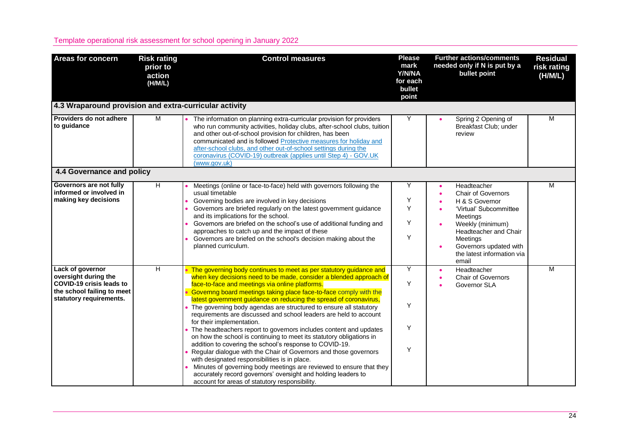| <b>Areas for concern</b>                                                                                                      | <b>Risk rating</b><br>prior to<br>action<br>(H/M/L) | <b>Control measures</b>                                                                                                                                                                                                                                                                                                                                                                                                                                                                                                                                                                                                                                                                                                                                                                                                                                                                                                                                                                                                                    | <b>Please</b><br>mark<br>Y/N/NA<br>for each<br>bullet<br>point | <b>Further actions/comments</b><br>needed only if N is put by a<br>bullet point                                                                                                                                            | <b>Residual</b><br>risk rating<br>(H/M/L) |
|-------------------------------------------------------------------------------------------------------------------------------|-----------------------------------------------------|--------------------------------------------------------------------------------------------------------------------------------------------------------------------------------------------------------------------------------------------------------------------------------------------------------------------------------------------------------------------------------------------------------------------------------------------------------------------------------------------------------------------------------------------------------------------------------------------------------------------------------------------------------------------------------------------------------------------------------------------------------------------------------------------------------------------------------------------------------------------------------------------------------------------------------------------------------------------------------------------------------------------------------------------|----------------------------------------------------------------|----------------------------------------------------------------------------------------------------------------------------------------------------------------------------------------------------------------------------|-------------------------------------------|
| 4.3 Wraparound provision and extra-curricular activity                                                                        |                                                     |                                                                                                                                                                                                                                                                                                                                                                                                                                                                                                                                                                                                                                                                                                                                                                                                                                                                                                                                                                                                                                            |                                                                |                                                                                                                                                                                                                            |                                           |
| Providers do not adhere<br>to guidance                                                                                        | M                                                   | The information on planning extra-curricular provision for providers<br>who run community activities, holiday clubs, after-school clubs, tuition<br>and other out-of-school provision for children, has been<br>communicated and is followed Protective measures for holiday and<br>after-school clubs, and other out-of-school settings during the<br>coronavirus (COVID-19) outbreak (applies until Step 4) - GOV.UK<br>(www.gov.uk)                                                                                                                                                                                                                                                                                                                                                                                                                                                                                                                                                                                                     | Υ                                                              | Spring 2 Opening of<br>Breakfast Club; under<br>review                                                                                                                                                                     | М                                         |
| 4.4 Governance and policy                                                                                                     |                                                     |                                                                                                                                                                                                                                                                                                                                                                                                                                                                                                                                                                                                                                                                                                                                                                                                                                                                                                                                                                                                                                            |                                                                |                                                                                                                                                                                                                            |                                           |
| Governors are not fully<br>informed or involved in<br>making key decisions                                                    | $\overline{H}$                                      | Meetings (online or face-to-face) held with governors following the<br>usual timetable<br>Governing bodies are involved in key decisions<br>Governors are briefed regularly on the latest government guidance<br>and its implications for the school.<br>Governors are briefed on the school's use of additional funding and<br>approaches to catch up and the impact of these<br>Governors are briefed on the school's decision making about the<br>planned curriculum.                                                                                                                                                                                                                                                                                                                                                                                                                                                                                                                                                                   | Y<br>Υ<br>Y<br>Y<br>Y                                          | Headteacher<br><b>Chair of Governors</b><br>H & S Governor<br>'Virtual' Subcommittee<br>Meetings<br>Weekly (minimum)<br>Headteacher and Chair<br>Meetings<br>Governors updated with<br>the latest information via<br>email | М                                         |
| Lack of governor<br>oversight during the<br>COVID-19 crisis leads to<br>the school failing to meet<br>statutory requirements. | $\overline{H}$                                      | The governing body continues to meet as per statutory guidance and<br>when key decisions need to be made, consider a blended approach of<br>face-to-face and meetings via online platforms.<br>Governing board meetings taking place face-to-face comply with the<br>latest government guidance on reducing the spread of coronavirus,<br>• The governing body agendas are structured to ensure all statutory<br>requirements are discussed and school leaders are held to account<br>for their implementation.<br>• The headteachers report to governors includes content and updates<br>on how the school is continuing to meet its statutory obligations in<br>addition to covering the school's response to COVID-19.<br>• Regular dialogue with the Chair of Governors and those governors<br>with designated responsibilities is in place.<br>Minutes of governing body meetings are reviewed to ensure that they<br>accurately record governors' oversight and holding leaders to<br>account for areas of statutory responsibility. | Y<br>Y<br>Y<br>Υ<br>Υ                                          | Headteacher<br><b>Chair of Governors</b><br>Governor SLA                                                                                                                                                                   | M                                         |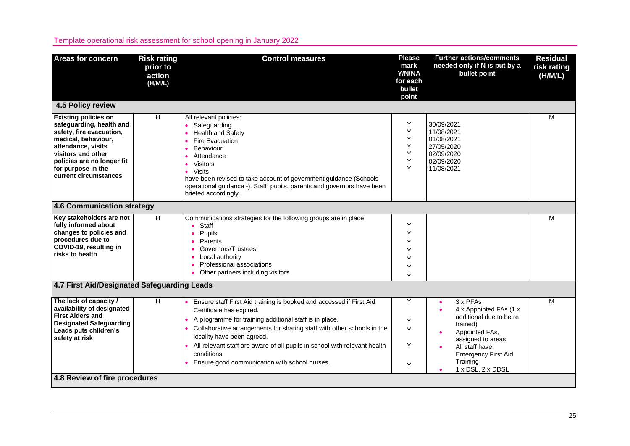| <b>Areas for concern</b>                                                                                                                                                                                                            | <b>Risk rating</b><br>prior to<br>action<br>(H/M/L) | <b>Control measures</b>                                                                                                                                                                                                                                                                                                                                                                                       | <b>Please</b><br>mark<br>Y/N/NA<br>for each<br>bullet<br>point | <b>Further actions/comments</b><br>needed only if N is put by a<br>bullet point                                                                                                                                | <b>Residual</b><br>risk rating<br>(H/M/L) |
|-------------------------------------------------------------------------------------------------------------------------------------------------------------------------------------------------------------------------------------|-----------------------------------------------------|---------------------------------------------------------------------------------------------------------------------------------------------------------------------------------------------------------------------------------------------------------------------------------------------------------------------------------------------------------------------------------------------------------------|----------------------------------------------------------------|----------------------------------------------------------------------------------------------------------------------------------------------------------------------------------------------------------------|-------------------------------------------|
| 4.5 Policy review                                                                                                                                                                                                                   |                                                     |                                                                                                                                                                                                                                                                                                                                                                                                               |                                                                |                                                                                                                                                                                                                |                                           |
| <b>Existing policies on</b><br>safeguarding, health and<br>safety, fire evacuation,<br>medical, behaviour,<br>attendance, visits<br>visitors and other<br>policies are no longer fit<br>for purpose in the<br>current circumstances | H                                                   | All relevant policies:<br>Safeguarding<br><b>Health and Safety</b><br>Fire Evacuation<br><b>Behaviour</b><br>Attendance<br><b>Visitors</b><br><b>Visits</b><br>have been revised to take account of government guidance (Schools<br>operational guidance -). Staff, pupils, parents and governors have been<br>briefed accordingly.                                                                           | Y<br>Υ<br>Y<br>Υ<br>Y<br>Y<br>Υ                                | 30/09/2021<br>11/08/2021<br>01/08/2021<br>27/05/2020<br>02/09/2020<br>02/09/2020<br>11/08/2021                                                                                                                 | M                                         |
| 4.6 Communication strategy                                                                                                                                                                                                          |                                                     |                                                                                                                                                                                                                                                                                                                                                                                                               |                                                                |                                                                                                                                                                                                                |                                           |
| Key stakeholders are not<br>fully informed about<br>changes to policies and<br>procedures due to<br>COVID-19, resulting in<br>risks to health                                                                                       | H                                                   | Communications strategies for the following groups are in place:<br>$\bullet$ Staff<br>Pupils<br>$\bullet$<br>Parents<br>$\bullet$<br>Governors/Trustees<br>Local authority<br>Professional associations<br>• Other partners including visitors                                                                                                                                                               | Υ<br>Y<br>Υ<br>Υ<br>Y<br>Y<br>Y                                |                                                                                                                                                                                                                | M                                         |
| 4.7 First Aid/Designated Safeguarding Leads                                                                                                                                                                                         |                                                     |                                                                                                                                                                                                                                                                                                                                                                                                               |                                                                |                                                                                                                                                                                                                |                                           |
| The lack of capacity /<br>availability of designated<br><b>First Aiders and</b><br><b>Designated Safeguarding</b><br>Leads puts children's<br>safety at risk                                                                        | H.                                                  | Ensure staff First Aid training is booked and accessed if First Aid<br>Certificate has expired.<br>A programme for training additional staff is in place.<br>Collaborative arrangements for sharing staff with other schools in the<br>locality have been agreed.<br>All relevant staff are aware of all pupils in school with relevant health<br>conditions<br>Ensure good communication with school nurses. | Υ<br>Y<br>Y<br>Y<br>Y                                          | 3 x PFAs<br>4 x Appointed FAs (1 x<br>additional due to be re<br>trained)<br>Appointed FAs,<br>$\bullet$<br>assigned to areas<br>All staff have<br><b>Emergency First Aid</b><br>Training<br>1 x DSL, 2 x DDSL | M                                         |
| 4.8 Review of fire procedures                                                                                                                                                                                                       |                                                     |                                                                                                                                                                                                                                                                                                                                                                                                               |                                                                |                                                                                                                                                                                                                |                                           |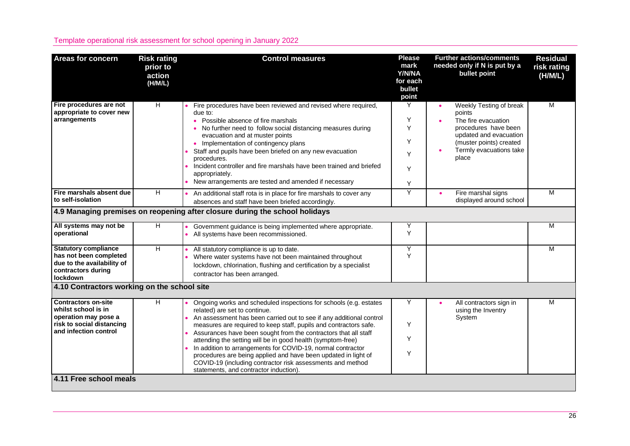| <b>Areas for concern</b>                                                                                                        | <b>Risk rating</b><br>prior to<br>action<br>(H/M/L) | <b>Control measures</b>                                                                                                                                                                                                                                                                                                                                                                                                                                                                                                                                                                                                   | <b>Please</b><br>mark<br>Y/N/NA<br>for each<br>bullet<br>point | <b>Further actions/comments</b><br>needed only if N is put by a<br>bullet point                                                                                           | <b>Residual</b><br>risk rating<br>(H/M/L) |
|---------------------------------------------------------------------------------------------------------------------------------|-----------------------------------------------------|---------------------------------------------------------------------------------------------------------------------------------------------------------------------------------------------------------------------------------------------------------------------------------------------------------------------------------------------------------------------------------------------------------------------------------------------------------------------------------------------------------------------------------------------------------------------------------------------------------------------------|----------------------------------------------------------------|---------------------------------------------------------------------------------------------------------------------------------------------------------------------------|-------------------------------------------|
| Fire procedures are not<br>appropriate to cover new<br>arrangements                                                             | H                                                   | Fire procedures have been reviewed and revised where required,<br>due to:<br>• Possible absence of fire marshals<br>No further need to follow social distancing measures during<br>evacuation and at muster points<br>• Implementation of contingency plans<br>Staff and pupils have been briefed on any new evacuation<br>procedures.<br>Incident controller and fire marshals have been trained and briefed<br>appropriately.<br>New arrangements are tested and amended if necessary                                                                                                                                   | Υ<br>Y<br>Y<br>Y<br>Y<br>Y<br>Y                                | Weekly Testing of break<br>points<br>The fire evacuation<br>procedures have been<br>updated and evacuation<br>(muster points) created<br>Termly evacuations take<br>place | М                                         |
| Fire marshals absent due<br>to self-isolation                                                                                   | H                                                   | An additional staff rota is in place for fire marshals to cover any<br>absences and staff have been briefed accordingly.                                                                                                                                                                                                                                                                                                                                                                                                                                                                                                  | Υ                                                              | Fire marshal signs<br>displayed around school                                                                                                                             | M                                         |
|                                                                                                                                 |                                                     | 4.9 Managing premises on reopening after closure during the school holidays                                                                                                                                                                                                                                                                                                                                                                                                                                                                                                                                               |                                                                |                                                                                                                                                                           |                                           |
| All systems may not be<br>operational                                                                                           | H                                                   | Government guidance is being implemented where appropriate.<br>• All systems have been recommissioned.                                                                                                                                                                                                                                                                                                                                                                                                                                                                                                                    | Υ<br>Y                                                         |                                                                                                                                                                           | М                                         |
| <b>Statutory compliance</b><br>has not been completed<br>due to the availability of<br>contractors during<br>lockdown           | Η                                                   | All statutory compliance is up to date.<br>Where water systems have not been maintained throughout<br>lockdown, chlorination, flushing and certification by a specialist<br>contractor has been arranged.                                                                                                                                                                                                                                                                                                                                                                                                                 | Υ<br>Y                                                         |                                                                                                                                                                           | м                                         |
| 4.10 Contractors working on the school site                                                                                     |                                                     |                                                                                                                                                                                                                                                                                                                                                                                                                                                                                                                                                                                                                           |                                                                |                                                                                                                                                                           |                                           |
| <b>Contractors on-site</b><br>whilst school is in<br>operation may pose a<br>risk to social distancing<br>and infection control | H.                                                  | Ongoing works and scheduled inspections for schools (e.g. estates<br>related) are set to continue.<br>An assessment has been carried out to see if any additional control<br>measures are required to keep staff, pupils and contractors safe.<br>Assurances have been sought from the contractors that all staff<br>attending the setting will be in good health (symptom-free)<br>In addition to arrangements for COVID-19, normal contractor<br>procedures are being applied and have been updated in light of<br>COVID-19 (including contractor risk assessments and method<br>statements, and contractor induction). | Υ<br>Y<br>Y<br>Y                                               | All contractors sign in<br>using the Inventry<br>System                                                                                                                   | M                                         |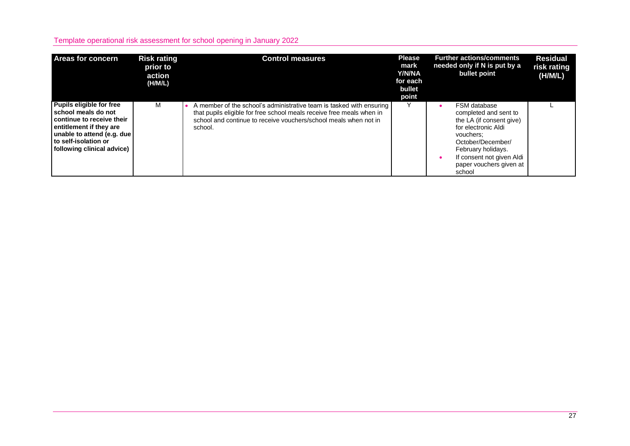| <b>Areas for concern</b>                                                                                                                                                                    | <b>Risk rating</b><br>prior to<br>action<br>(H/M/L) | <b>Control measures</b>                                                                                                                                                                                                      | <b>Please</b><br>mark<br>Y/N/NA<br>for each<br>bullet<br>point | <b>Further actions/comments</b><br>needed only if N is put by a<br>bullet point                                                                                                                                    | <b>Residual</b><br>risk rating<br>(H/M/L) |
|---------------------------------------------------------------------------------------------------------------------------------------------------------------------------------------------|-----------------------------------------------------|------------------------------------------------------------------------------------------------------------------------------------------------------------------------------------------------------------------------------|----------------------------------------------------------------|--------------------------------------------------------------------------------------------------------------------------------------------------------------------------------------------------------------------|-------------------------------------------|
| Pupils eligible for free<br>school meals do not<br>continue to receive their<br>entitlement if they are<br>unable to attend (e.g. due<br>to self-isolation or<br>following clinical advice) | м                                                   | A member of the school's administrative team is tasked with ensuring<br>that pupils eligible for free school meals receive free meals when in<br>school and continue to receive vouchers/school meals when not in<br>school. |                                                                | FSM database<br>completed and sent to<br>the LA (if consent give)<br>for electronic Aldi<br>vouchers:<br>October/December/<br>February holidays.<br>If consent not given Aldi<br>paper vouchers given at<br>school |                                           |